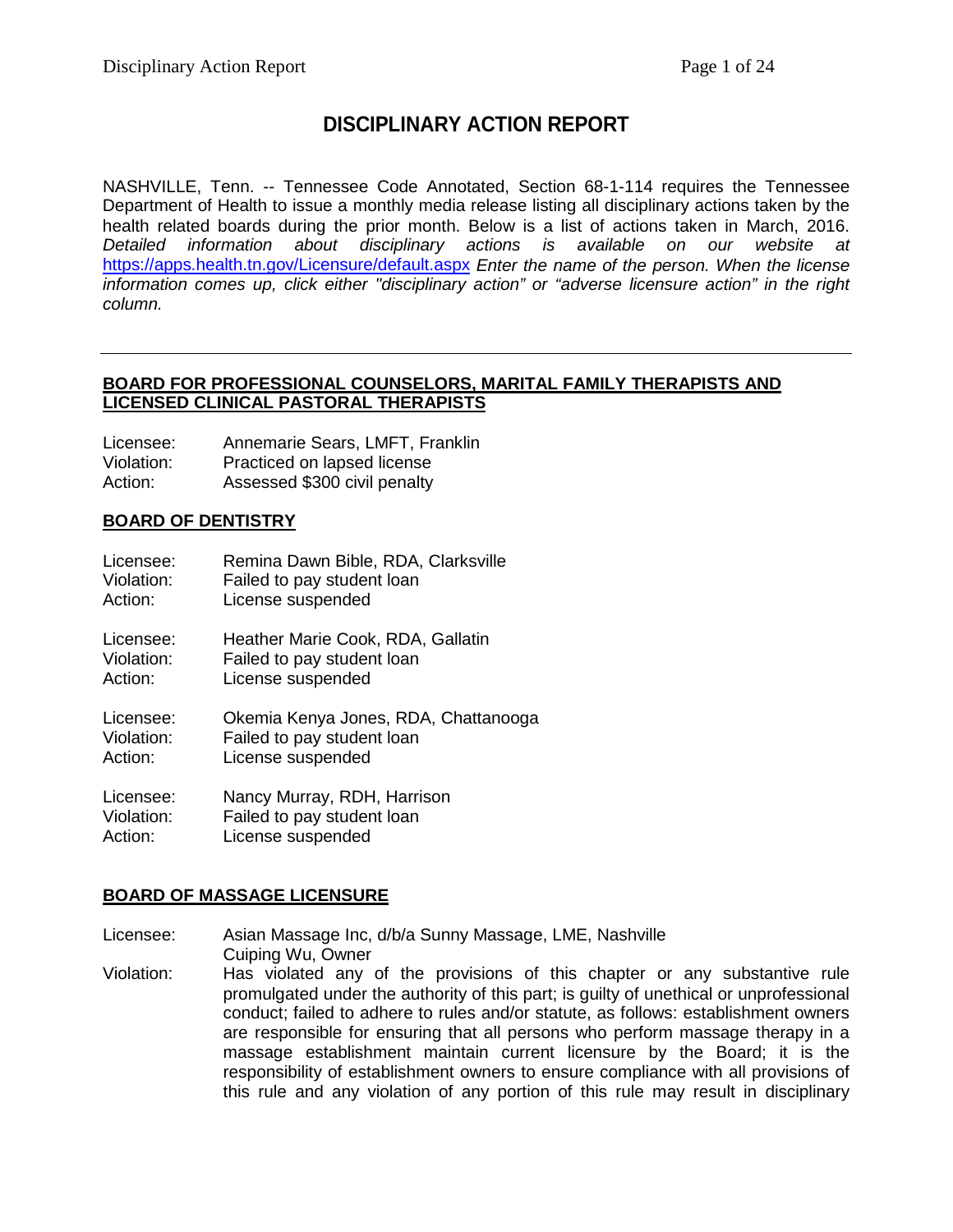# **DISCIPLINARY ACTION REPORT**

NASHVILLE, Tenn. -- Tennessee Code Annotated, Section 68-1-114 requires the Tennessee Department of Health to issue a monthly media release listing all disciplinary actions taken by the health related boards during the prior month. Below is a list of actions taken in March, 2016. *Detailed information about disciplinary actions is available on our website at*  <https://apps.health.tn.gov/Licensure/default.aspx> *Enter the name of the person. When the license information comes up, click either "disciplinary action" or "adverse licensure action" in the right column.*

#### **BOARD FOR PROFESSIONAL COUNSELORS, MARITAL FAMILY THERAPISTS AND LICENSED CLINICAL PASTORAL THERAPISTS**

| Licensee:  | Annemarie Sears, LMFT, Franklin |
|------------|---------------------------------|
| Violation: | Practiced on lapsed license     |
| Action:    | Assessed \$300 civil penalty    |

# **BOARD OF DENTISTRY**

| Licensee:  | Remina Dawn Bible, RDA, Clarksville  |
|------------|--------------------------------------|
| Violation: | Failed to pay student loan           |
| Action:    | License suspended                    |
| Licensee:  | Heather Marie Cook, RDA, Gallatin    |
| Violation: | Failed to pay student loan           |
| Action:    | License suspended                    |
| Licensee:  | Okemia Kenya Jones, RDA, Chattanooga |
| Violation: | Failed to pay student loan           |
| Action:    | License suspended                    |
| Licensee:  | Nancy Murray, RDH, Harrison          |
| Violation: | Failed to pay student loan           |
| Action:    | License suspended                    |

# **BOARD OF MASSAGE LICENSURE**

Licensee: Asian Massage Inc, d/b/a Sunny Massage, LME, Nashville Cuiping Wu, Owner

Violation: Has violated any of the provisions of this chapter or any substantive rule promulgated under the authority of this part; is guilty of unethical or unprofessional conduct; failed to adhere to rules and/or statute, as follows: establishment owners are responsible for ensuring that all persons who perform massage therapy in a massage establishment maintain current licensure by the Board; it is the responsibility of establishment owners to ensure compliance with all provisions of this rule and any violation of any portion of this rule may result in disciplinary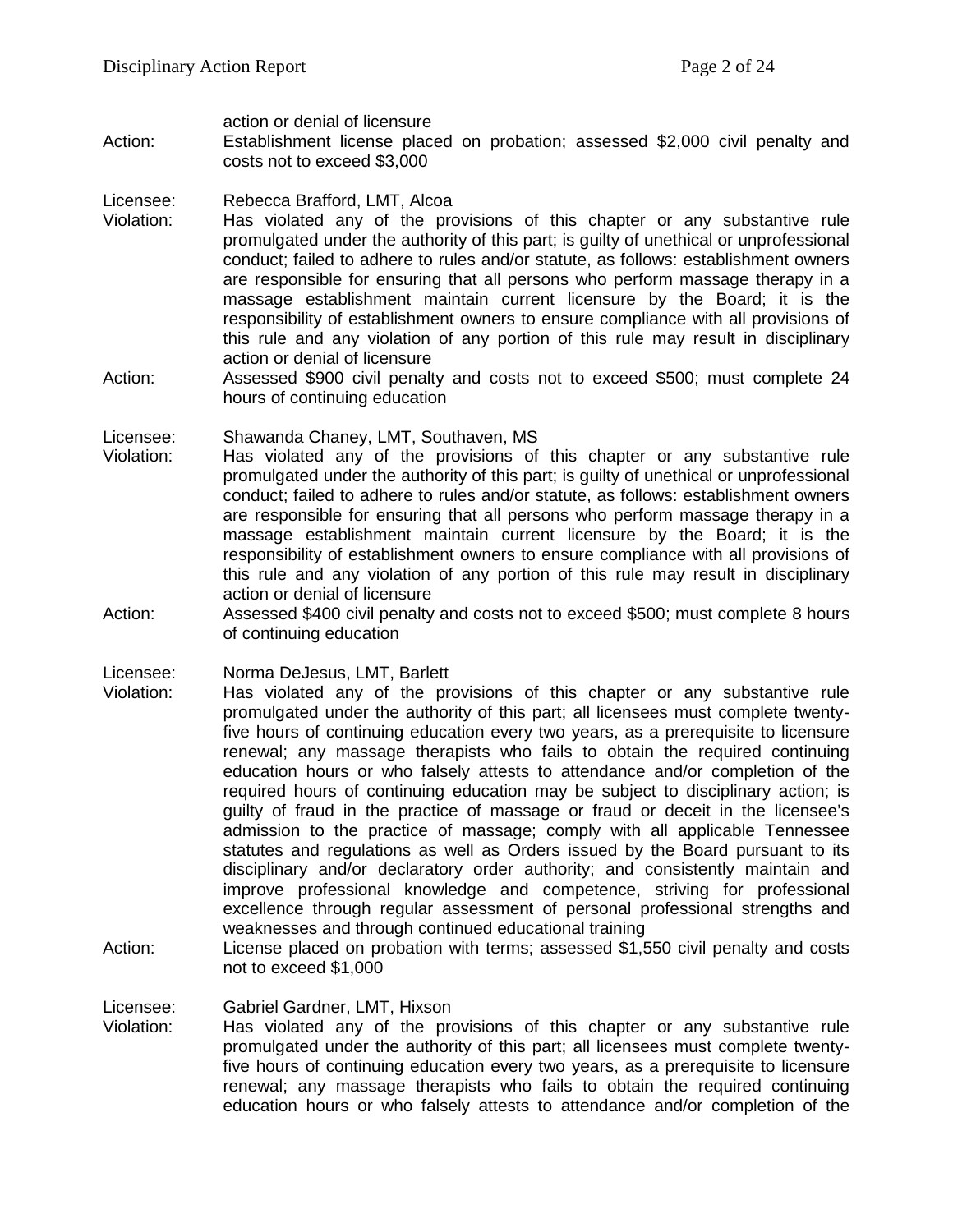action or denial of licensure

Action: Establishment license placed on probation; assessed \$2,000 civil penalty and costs not to exceed \$3,000

Licensee: Rebecca Brafford, LMT, Alcoa

- Violation: Has violated any of the provisions of this chapter or any substantive rule promulgated under the authority of this part; is guilty of unethical or unprofessional conduct; failed to adhere to rules and/or statute, as follows: establishment owners are responsible for ensuring that all persons who perform massage therapy in a massage establishment maintain current licensure by the Board; it is the responsibility of establishment owners to ensure compliance with all provisions of this rule and any violation of any portion of this rule may result in disciplinary action or denial of licensure
- Action: Assessed \$900 civil penalty and costs not to exceed \$500; must complete 24 hours of continuing education

Licensee: Shawanda Chaney, LMT, Southaven, MS<br>Violation: Has violated any of the provisions of

- Has violated any of the provisions of this chapter or any substantive rule promulgated under the authority of this part; is guilty of unethical or unprofessional conduct; failed to adhere to rules and/or statute, as follows: establishment owners are responsible for ensuring that all persons who perform massage therapy in a massage establishment maintain current licensure by the Board; it is the responsibility of establishment owners to ensure compliance with all provisions of this rule and any violation of any portion of this rule may result in disciplinary action or denial of licensure
- Action: Assessed \$400 civil penalty and costs not to exceed \$500; must complete 8 hours of continuing education

Licensee: Norma DeJesus, LMT, Barlett

- Violation: Has violated any of the provisions of this chapter or any substantive rule promulgated under the authority of this part; all licensees must complete twentyfive hours of continuing education every two years, as a prerequisite to licensure renewal; any massage therapists who fails to obtain the required continuing education hours or who falsely attests to attendance and/or completion of the required hours of continuing education may be subject to disciplinary action; is guilty of fraud in the practice of massage or fraud or deceit in the licensee's admission to the practice of massage; comply with all applicable Tennessee statutes and regulations as well as Orders issued by the Board pursuant to its disciplinary and/or declaratory order authority; and consistently maintain and improve professional knowledge and competence, striving for professional excellence through regular assessment of personal professional strengths and weaknesses and through continued educational training
- Action: License placed on probation with terms; assessed \$1,550 civil penalty and costs not to exceed \$1,000

Licensee: Gabriel Gardner, LMT, Hixson<br>Violation: Has violated any of the pro

Has violated any of the provisions of this chapter or any substantive rule promulgated under the authority of this part; all licensees must complete twentyfive hours of continuing education every two years, as a prerequisite to licensure renewal; any massage therapists who fails to obtain the required continuing education hours or who falsely attests to attendance and/or completion of the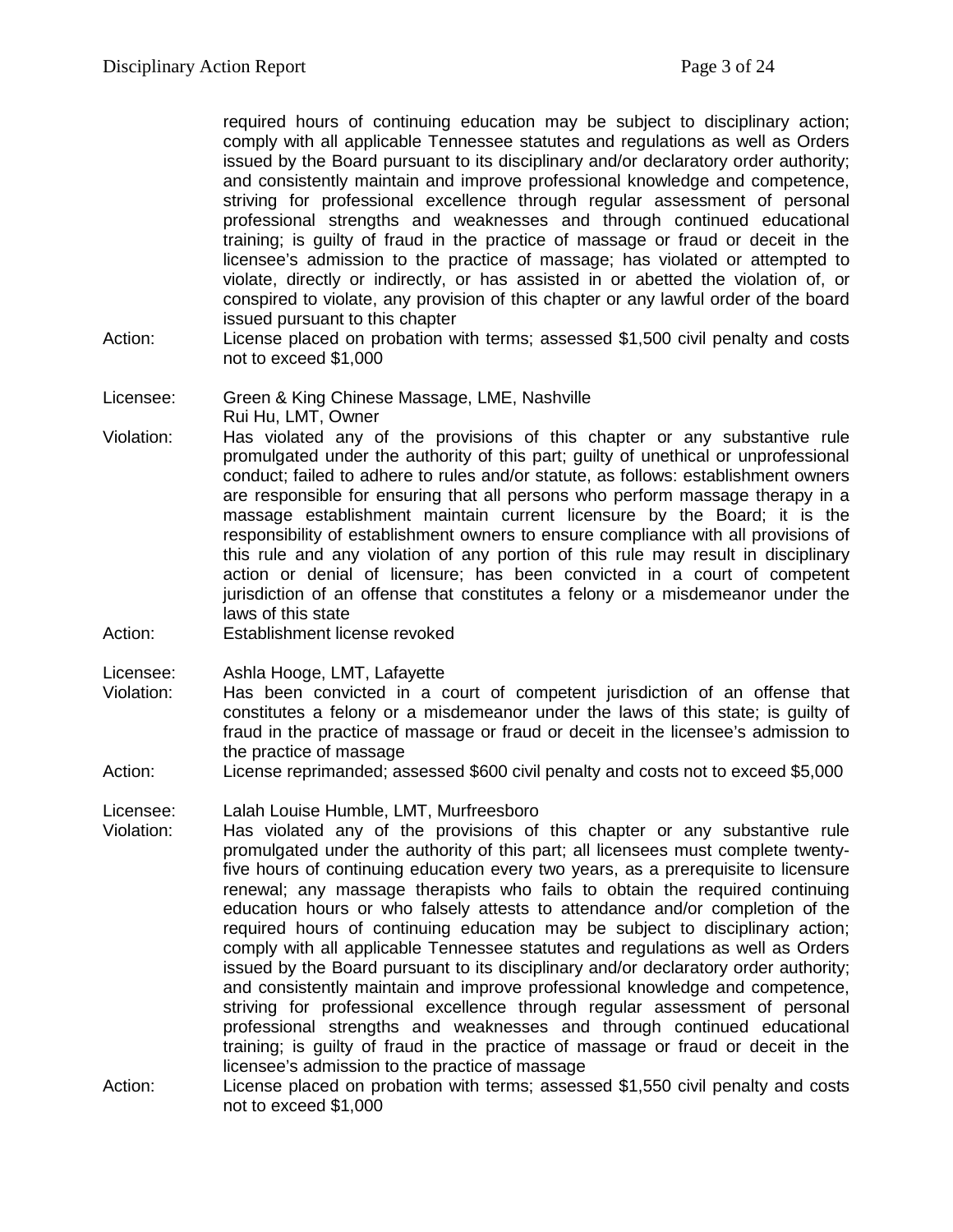required hours of continuing education may be subject to disciplinary action; comply with all applicable Tennessee statutes and regulations as well as Orders issued by the Board pursuant to its disciplinary and/or declaratory order authority; and consistently maintain and improve professional knowledge and competence, striving for professional excellence through regular assessment of personal professional strengths and weaknesses and through continued educational training; is guilty of fraud in the practice of massage or fraud or deceit in the licensee's admission to the practice of massage; has violated or attempted to violate, directly or indirectly, or has assisted in or abetted the violation of, or conspired to violate, any provision of this chapter or any lawful order of the board issued pursuant to this chapter

- Action: License placed on probation with terms; assessed \$1,500 civil penalty and costs not to exceed \$1,000
- Licensee: Green & King Chinese Massage, LME, Nashville Rui Hu, LMT, Owner
- Violation: Has violated any of the provisions of this chapter or any substantive rule promulgated under the authority of this part; guilty of unethical or unprofessional conduct; failed to adhere to rules and/or statute, as follows: establishment owners are responsible for ensuring that all persons who perform massage therapy in a massage establishment maintain current licensure by the Board; it is the responsibility of establishment owners to ensure compliance with all provisions of this rule and any violation of any portion of this rule may result in disciplinary action or denial of licensure; has been convicted in a court of competent jurisdiction of an offense that constitutes a felony or a misdemeanor under the laws of this state
- Action: Establishment license revoked

Licensee: Ashla Hooge, LMT, Lafayette

- Violation: Has been convicted in a court of competent jurisdiction of an offense that constitutes a felony or a misdemeanor under the laws of this state; is guilty of fraud in the practice of massage or fraud or deceit in the licensee's admission to the practice of massage
- Action: License reprimanded; assessed \$600 civil penalty and costs not to exceed \$5,000

Licensee: Lalah Louise Humble, LMT, Murfreesboro

- Violation: Has violated any of the provisions of this chapter or any substantive rule promulgated under the authority of this part; all licensees must complete twentyfive hours of continuing education every two years, as a prerequisite to licensure renewal; any massage therapists who fails to obtain the required continuing education hours or who falsely attests to attendance and/or completion of the required hours of continuing education may be subject to disciplinary action; comply with all applicable Tennessee statutes and regulations as well as Orders issued by the Board pursuant to its disciplinary and/or declaratory order authority; and consistently maintain and improve professional knowledge and competence, striving for professional excellence through regular assessment of personal professional strengths and weaknesses and through continued educational training; is guilty of fraud in the practice of massage or fraud or deceit in the licensee's admission to the practice of massage
- Action: License placed on probation with terms; assessed \$1,550 civil penalty and costs not to exceed \$1,000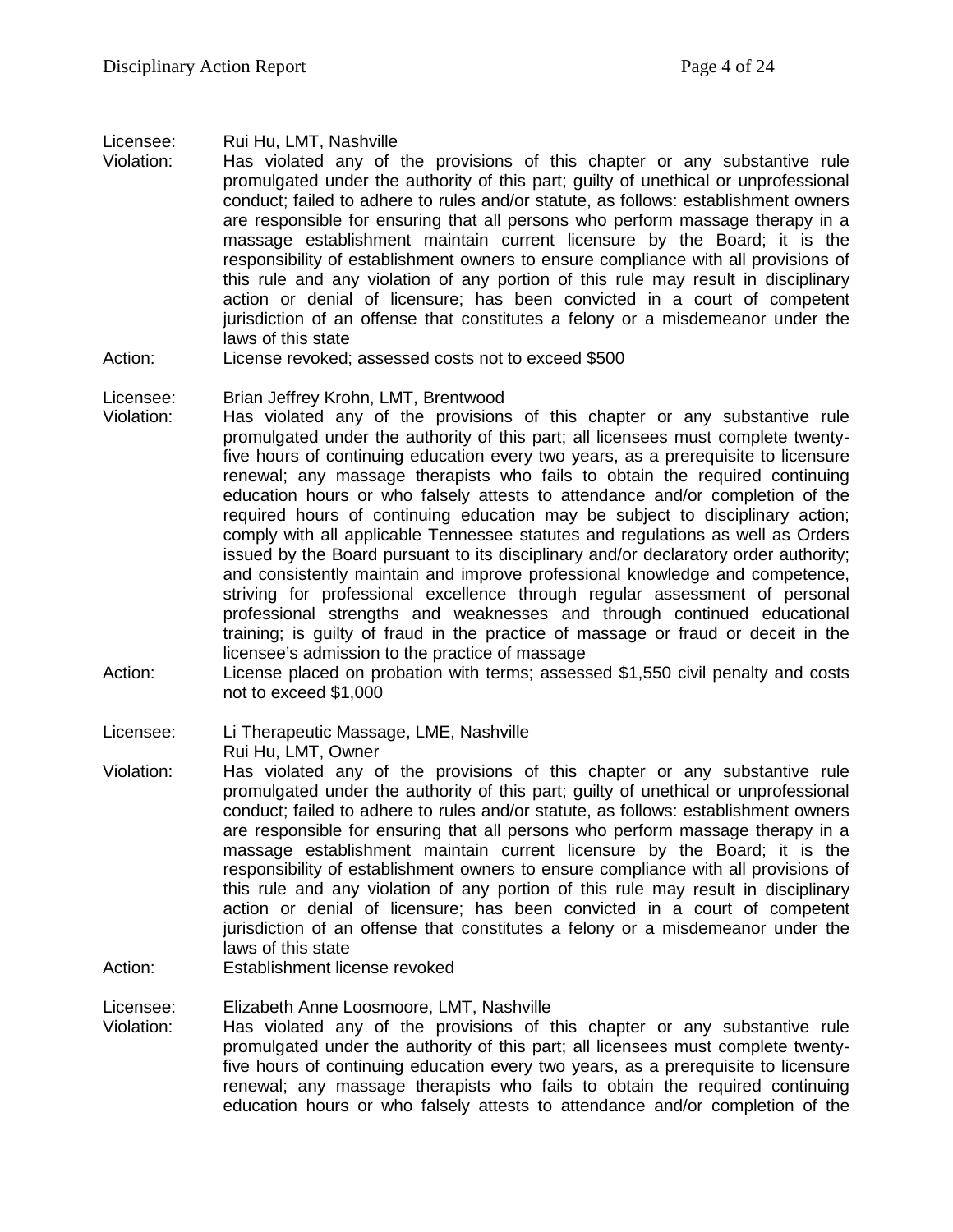#### Licensee: Rui Hu, LMT, Nashville

- Violation: Has violated any of the provisions of this chapter or any substantive rule promulgated under the authority of this part; guilty of unethical or unprofessional conduct; failed to adhere to rules and/or statute, as follows: establishment owners are responsible for ensuring that all persons who perform massage therapy in a massage establishment maintain current licensure by the Board; it is the responsibility of establishment owners to ensure compliance with all provisions of this rule and any violation of any portion of this rule may result in disciplinary action or denial of licensure; has been convicted in a court of competent jurisdiction of an offense that constitutes a felony or a misdemeanor under the laws of this state
- Action: License revoked; assessed costs not to exceed \$500
- Licensee: Brian Jeffrey Krohn, LMT, Brentwood
- Violation: Has violated any of the provisions of this chapter or any substantive rule promulgated under the authority of this part; all licensees must complete twentyfive hours of continuing education every two years, as a prerequisite to licensure renewal; any massage therapists who fails to obtain the required continuing education hours or who falsely attests to attendance and/or completion of the required hours of continuing education may be subject to disciplinary action; comply with all applicable Tennessee statutes and regulations as well as Orders issued by the Board pursuant to its disciplinary and/or declaratory order authority; and consistently maintain and improve professional knowledge and competence, striving for professional excellence through regular assessment of personal professional strengths and weaknesses and through continued educational training; is guilty of fraud in the practice of massage or fraud or deceit in the licensee's admission to the practice of massage
- Action: License placed on probation with terms; assessed \$1,550 civil penalty and costs not to exceed \$1,000

Licensee: Li Therapeutic Massage, LME, Nashville Rui Hu, LMT, Owner

- Violation: Has violated any of the provisions of this chapter or any substantive rule promulgated under the authority of this part; guilty of unethical or unprofessional conduct; failed to adhere to rules and/or statute, as follows: establishment owners are responsible for ensuring that all persons who perform massage therapy in a massage establishment maintain current licensure by the Board; it is the responsibility of establishment owners to ensure compliance with all provisions of this rule and any violation of any portion of this rule may result in disciplinary action or denial of licensure; has been convicted in a court of competent jurisdiction of an offense that constitutes a felony or a misdemeanor under the laws of this state
- Action: Establishment license revoked

Licensee: Elizabeth Anne Loosmoore, LMT, Nashville<br>Violation: Has violated any of the provisions of t

Has violated any of the provisions of this chapter or any substantive rule promulgated under the authority of this part; all licensees must complete twentyfive hours of continuing education every two years, as a prerequisite to licensure renewal; any massage therapists who fails to obtain the required continuing education hours or who falsely attests to attendance and/or completion of the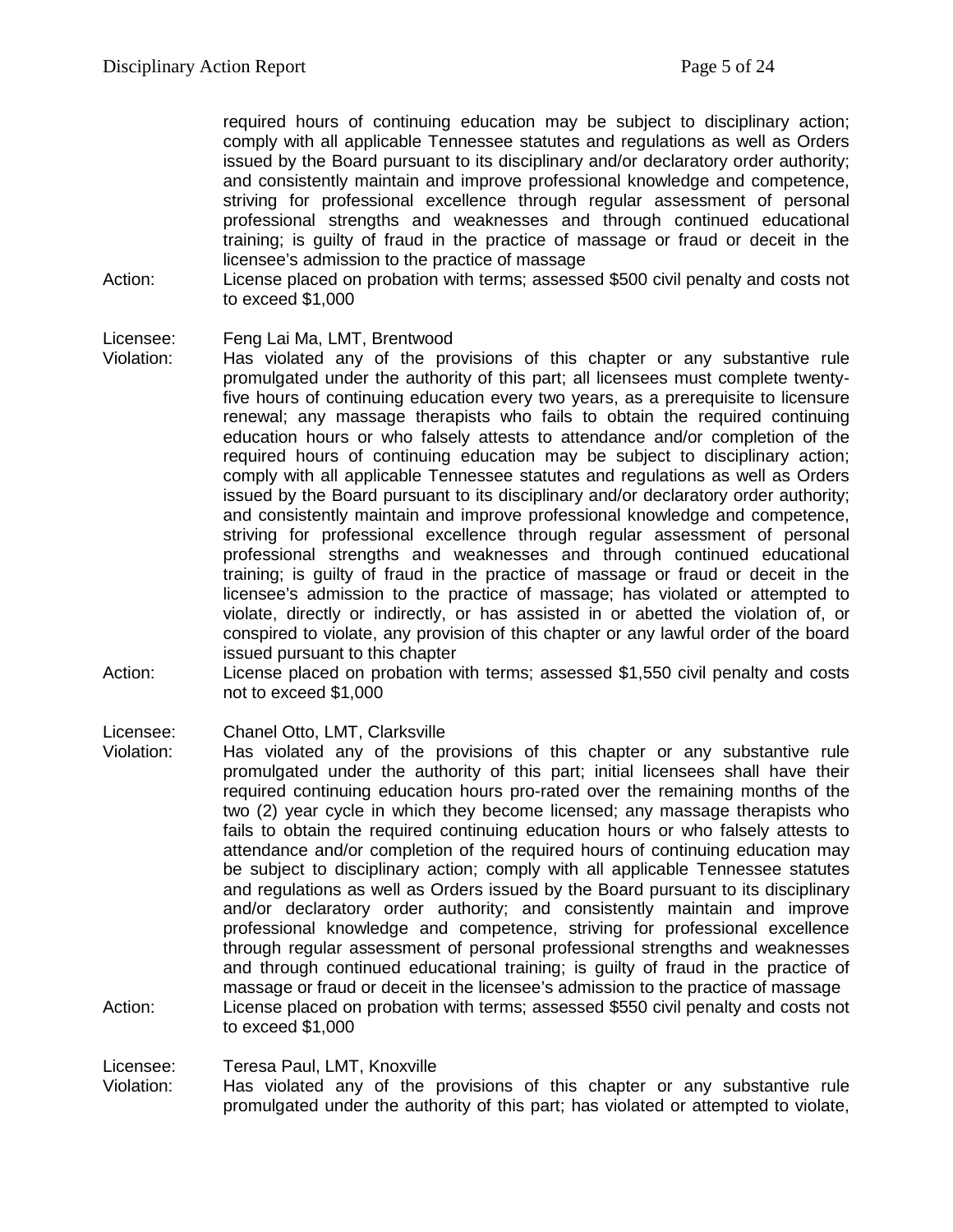required hours of continuing education may be subject to disciplinary action; comply with all applicable Tennessee statutes and regulations as well as Orders issued by the Board pursuant to its disciplinary and/or declaratory order authority; and consistently maintain and improve professional knowledge and competence, striving for professional excellence through regular assessment of personal professional strengths and weaknesses and through continued educational training; is guilty of fraud in the practice of massage or fraud or deceit in the licensee's admission to the practice of massage

Action: License placed on probation with terms; assessed \$500 civil penalty and costs not to exceed \$1,000

Licensee: Feng Lai Ma, LMT, Brentwood

- Violation: Has violated any of the provisions of this chapter or any substantive rule promulgated under the authority of this part; all licensees must complete twentyfive hours of continuing education every two years, as a prerequisite to licensure renewal; any massage therapists who fails to obtain the required continuing education hours or who falsely attests to attendance and/or completion of the required hours of continuing education may be subject to disciplinary action; comply with all applicable Tennessee statutes and regulations as well as Orders issued by the Board pursuant to its disciplinary and/or declaratory order authority; and consistently maintain and improve professional knowledge and competence, striving for professional excellence through regular assessment of personal professional strengths and weaknesses and through continued educational training; is guilty of fraud in the practice of massage or fraud or deceit in the licensee's admission to the practice of massage; has violated or attempted to violate, directly or indirectly, or has assisted in or abetted the violation of, or conspired to violate, any provision of this chapter or any lawful order of the board issued pursuant to this chapter
- Action: License placed on probation with terms; assessed \$1,550 civil penalty and costs not to exceed \$1,000

Licensee: Chanel Otto, LMT, Clarksville

Violation: Has violated any of the provisions of this chapter or any substantive rule promulgated under the authority of this part; initial licensees shall have their required continuing education hours pro-rated over the remaining months of the two (2) year cycle in which they become licensed; any massage therapists who fails to obtain the required continuing education hours or who falsely attests to attendance and/or completion of the required hours of continuing education may be subject to disciplinary action; comply with all applicable Tennessee statutes and regulations as well as Orders issued by the Board pursuant to its disciplinary and/or declaratory order authority; and consistently maintain and improve professional knowledge and competence, striving for professional excellence through regular assessment of personal professional strengths and weaknesses and through continued educational training; is guilty of fraud in the practice of massage or fraud or deceit in the licensee's admission to the practice of massage Action: License placed on probation with terms; assessed \$550 civil penalty and costs not to exceed \$1,000

Licensee: Teresa Paul, LMT, Knoxville

Violation: Has violated any of the provisions of this chapter or any substantive rule promulgated under the authority of this part; has violated or attempted to violate,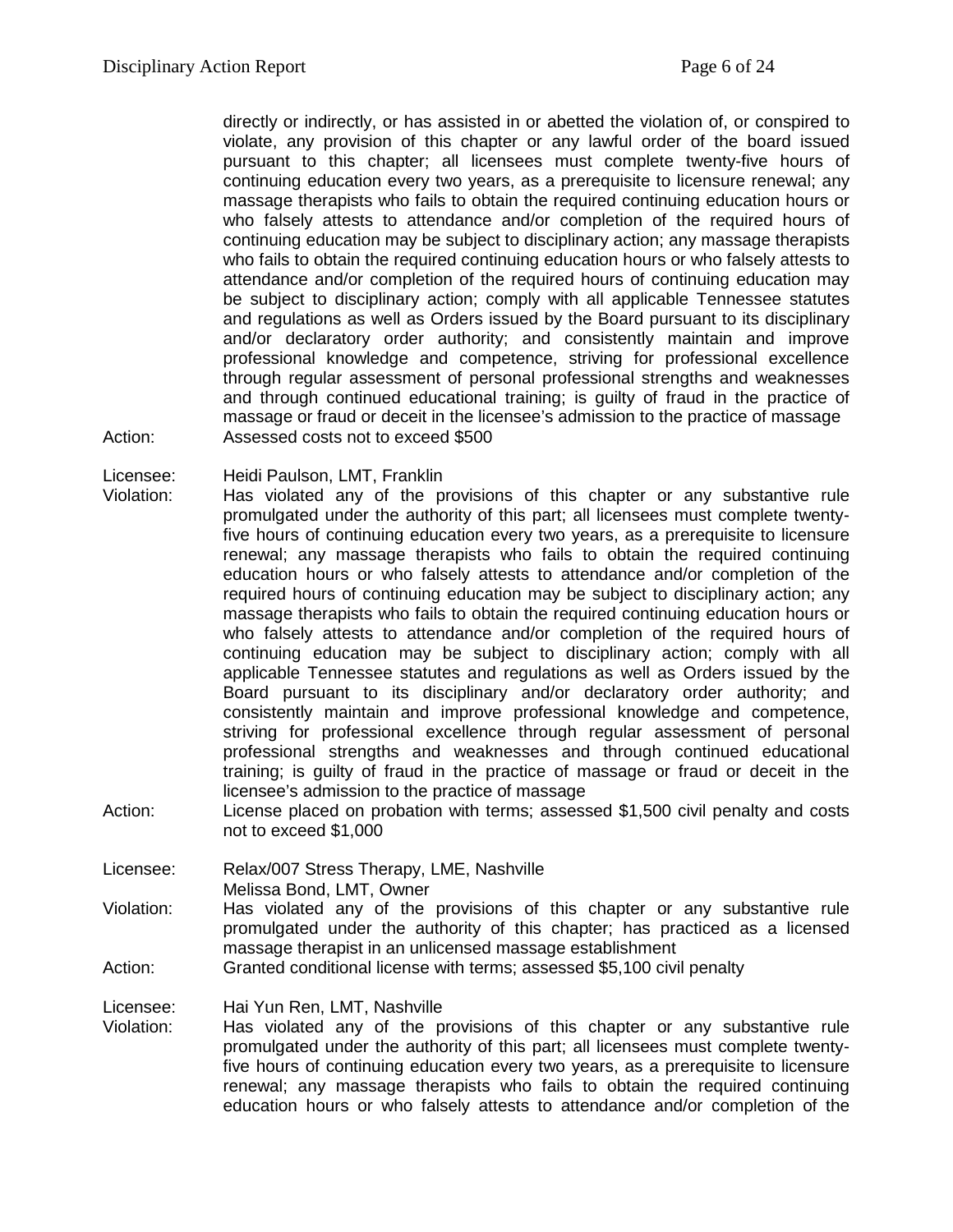directly or indirectly, or has assisted in or abetted the violation of, or conspired to violate, any provision of this chapter or any lawful order of the board issued pursuant to this chapter; all licensees must complete twenty-five hours of continuing education every two years, as a prerequisite to licensure renewal; any massage therapists who fails to obtain the required continuing education hours or who falsely attests to attendance and/or completion of the required hours of continuing education may be subject to disciplinary action; any massage therapists who fails to obtain the required continuing education hours or who falsely attests to attendance and/or completion of the required hours of continuing education may be subject to disciplinary action; comply with all applicable Tennessee statutes and regulations as well as Orders issued by the Board pursuant to its disciplinary and/or declaratory order authority; and consistently maintain and improve professional knowledge and competence, striving for professional excellence through regular assessment of personal professional strengths and weaknesses and through continued educational training; is guilty of fraud in the practice of massage or fraud or deceit in the licensee's admission to the practice of massage Action: Assessed costs not to exceed \$500

Licensee: Heidi Paulson, LMT, Franklin

- Violation: Has violated any of the provisions of this chapter or any substantive rule promulgated under the authority of this part; all licensees must complete twentyfive hours of continuing education every two years, as a prerequisite to licensure renewal; any massage therapists who fails to obtain the required continuing education hours or who falsely attests to attendance and/or completion of the required hours of continuing education may be subject to disciplinary action; any massage therapists who fails to obtain the required continuing education hours or who falsely attests to attendance and/or completion of the required hours of continuing education may be subject to disciplinary action; comply with all applicable Tennessee statutes and regulations as well as Orders issued by the Board pursuant to its disciplinary and/or declaratory order authority; and consistently maintain and improve professional knowledge and competence, striving for professional excellence through regular assessment of personal professional strengths and weaknesses and through continued educational training; is guilty of fraud in the practice of massage or fraud or deceit in the licensee's admission to the practice of massage
- Action: License placed on probation with terms; assessed \$1,500 civil penalty and costs not to exceed \$1,000
- Licensee: Relax/007 Stress Therapy, LME, Nashville Melissa Bond, LMT, Owner
- Violation: Has violated any of the provisions of this chapter or any substantive rule promulgated under the authority of this chapter; has practiced as a licensed massage therapist in an unlicensed massage establishment
- Action: Granted conditional license with terms; assessed \$5,100 civil penalty

Licensee: Hai Yun Ren, LMT, Nashville<br>Violation: Has violated any of the p

Has violated any of the provisions of this chapter or any substantive rule promulgated under the authority of this part; all licensees must complete twentyfive hours of continuing education every two years, as a prerequisite to licensure renewal; any massage therapists who fails to obtain the required continuing education hours or who falsely attests to attendance and/or completion of the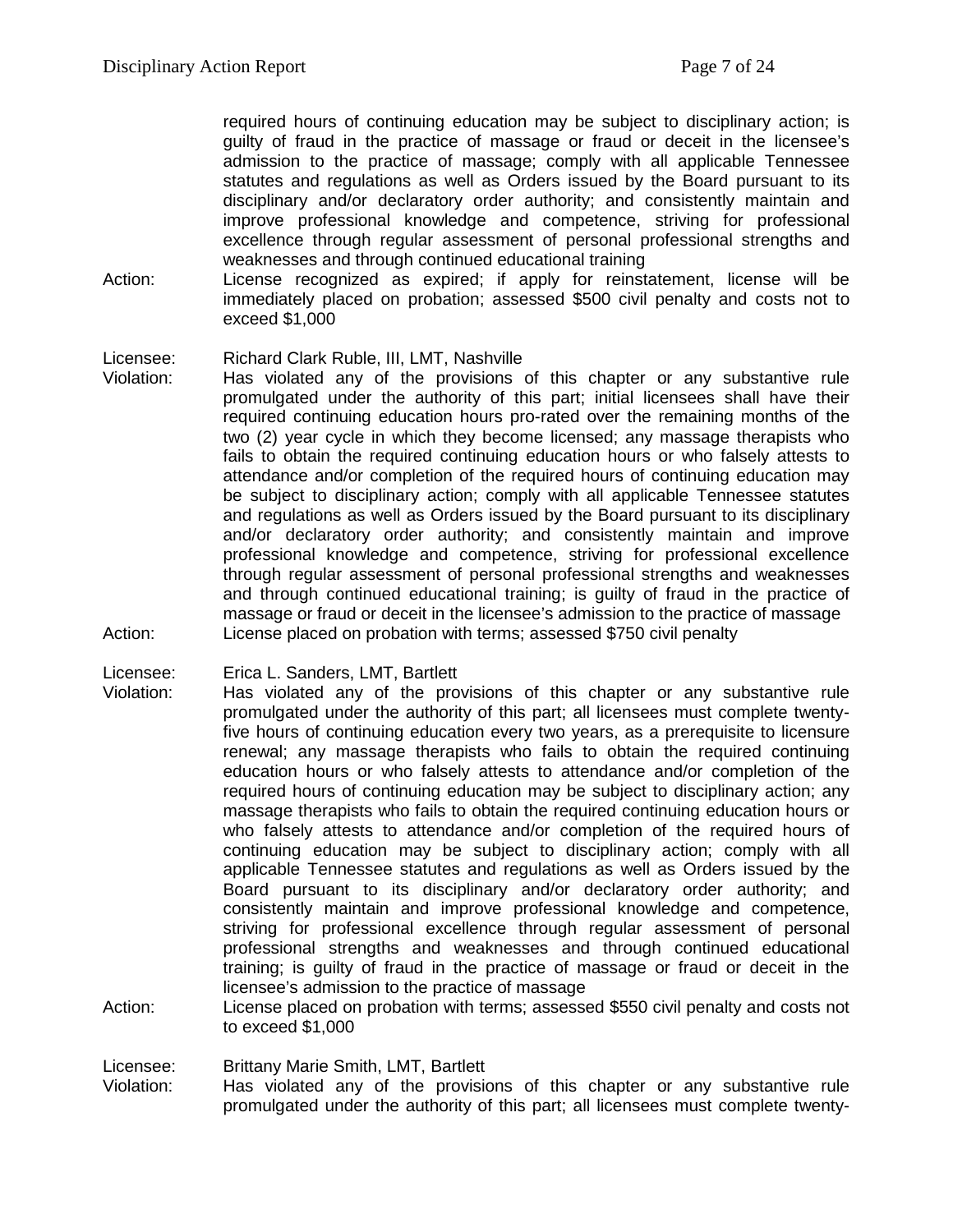required hours of continuing education may be subject to disciplinary action; is guilty of fraud in the practice of massage or fraud or deceit in the licensee's admission to the practice of massage; comply with all applicable Tennessee statutes and regulations as well as Orders issued by the Board pursuant to its disciplinary and/or declaratory order authority; and consistently maintain and improve professional knowledge and competence, striving for professional excellence through regular assessment of personal professional strengths and weaknesses and through continued educational training

Action: License recognized as expired; if apply for reinstatement, license will be immediately placed on probation; assessed \$500 civil penalty and costs not to exceed \$1,000

#### Licensee: Richard Clark Ruble, III, LMT, Nashville

Violation: Has violated any of the provisions of this chapter or any substantive rule promulgated under the authority of this part; initial licensees shall have their required continuing education hours pro-rated over the remaining months of the two (2) year cycle in which they become licensed; any massage therapists who fails to obtain the required continuing education hours or who falsely attests to attendance and/or completion of the required hours of continuing education may be subject to disciplinary action; comply with all applicable Tennessee statutes and regulations as well as Orders issued by the Board pursuant to its disciplinary and/or declaratory order authority; and consistently maintain and improve professional knowledge and competence, striving for professional excellence through regular assessment of personal professional strengths and weaknesses and through continued educational training; is guilty of fraud in the practice of massage or fraud or deceit in the licensee's admission to the practice of massage Action: License placed on probation with terms; assessed \$750 civil penalty

Licensee: Erica L. Sanders, LMT, Bartlett

- Violation: Has violated any of the provisions of this chapter or any substantive rule promulgated under the authority of this part; all licensees must complete twentyfive hours of continuing education every two years, as a prerequisite to licensure renewal; any massage therapists who fails to obtain the required continuing education hours or who falsely attests to attendance and/or completion of the required hours of continuing education may be subject to disciplinary action; any massage therapists who fails to obtain the required continuing education hours or who falsely attests to attendance and/or completion of the required hours of continuing education may be subject to disciplinary action; comply with all applicable Tennessee statutes and regulations as well as Orders issued by the Board pursuant to its disciplinary and/or declaratory order authority; and consistently maintain and improve professional knowledge and competence, striving for professional excellence through regular assessment of personal professional strengths and weaknesses and through continued educational training; is guilty of fraud in the practice of massage or fraud or deceit in the licensee's admission to the practice of massage
- Action: License placed on probation with terms; assessed \$550 civil penalty and costs not to exceed \$1,000

Licensee: Brittany Marie Smith, LMT, Bartlett

Violation: Has violated any of the provisions of this chapter or any substantive rule promulgated under the authority of this part; all licensees must complete twenty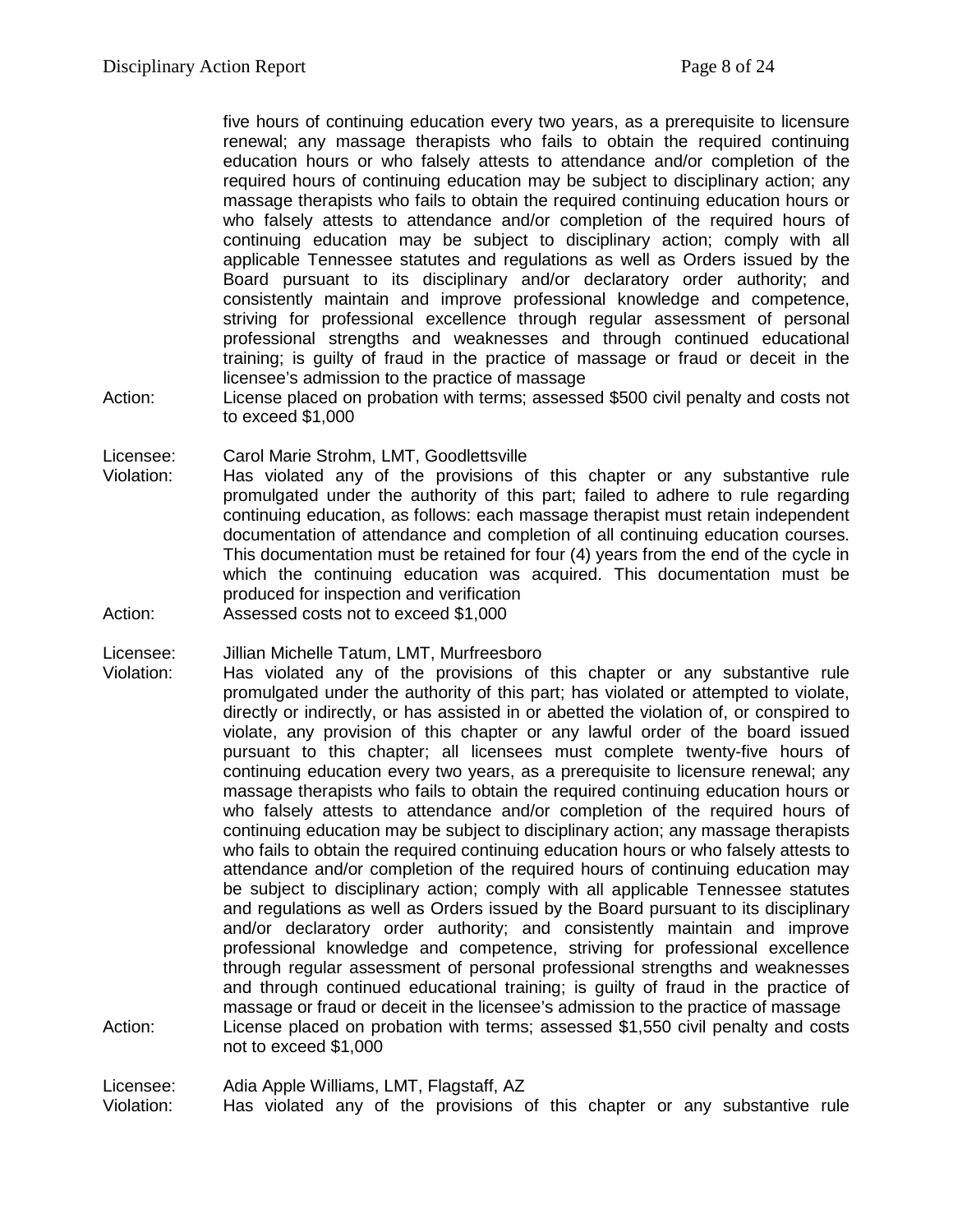five hours of continuing education every two years, as a prerequisite to licensure renewal; any massage therapists who fails to obtain the required continuing education hours or who falsely attests to attendance and/or completion of the required hours of continuing education may be subject to disciplinary action; any massage therapists who fails to obtain the required continuing education hours or who falsely attests to attendance and/or completion of the required hours of continuing education may be subject to disciplinary action; comply with all applicable Tennessee statutes and regulations as well as Orders issued by the Board pursuant to its disciplinary and/or declaratory order authority; and consistently maintain and improve professional knowledge and competence, striving for professional excellence through regular assessment of personal professional strengths and weaknesses and through continued educational training; is guilty of fraud in the practice of massage or fraud or deceit in the licensee's admission to the practice of massage

Action: License placed on probation with terms; assessed \$500 civil penalty and costs not to exceed \$1,000

Licensee: Carol Marie Strohm, LMT, Goodlettsville

- Violation: Has violated any of the provisions of this chapter or any substantive rule promulgated under the authority of this part; failed to adhere to rule regarding continuing education, as follows: each massage therapist must retain independent documentation of attendance and completion of all continuing education courses. This documentation must be retained for four (4) years from the end of the cycle in which the continuing education was acquired. This documentation must be produced for inspection and verification
- Action: Assessed costs not to exceed \$1,000
- Licensee: Jillian Michelle Tatum, LMT, Murfreesboro
- Violation: Has violated any of the provisions of this chapter or any substantive rule promulgated under the authority of this part; has violated or attempted to violate, directly or indirectly, or has assisted in or abetted the violation of, or conspired to violate, any provision of this chapter or any lawful order of the board issued pursuant to this chapter; all licensees must complete twenty-five hours of continuing education every two years, as a prerequisite to licensure renewal; any massage therapists who fails to obtain the required continuing education hours or who falsely attests to attendance and/or completion of the required hours of continuing education may be subject to disciplinary action; any massage therapists who fails to obtain the required continuing education hours or who falsely attests to attendance and/or completion of the required hours of continuing education may be subject to disciplinary action; comply with all applicable Tennessee statutes and regulations as well as Orders issued by the Board pursuant to its disciplinary and/or declaratory order authority; and consistently maintain and improve professional knowledge and competence, striving for professional excellence through regular assessment of personal professional strengths and weaknesses and through continued educational training; is guilty of fraud in the practice of massage or fraud or deceit in the licensee's admission to the practice of massage Action: License placed on probation with terms; assessed \$1,550 civil penalty and costs not to exceed \$1,000

Licensee: Adia Apple Williams, LMT, Flagstaff, AZ Violation: Has violated any of the provisions of this chapter or any substantive rule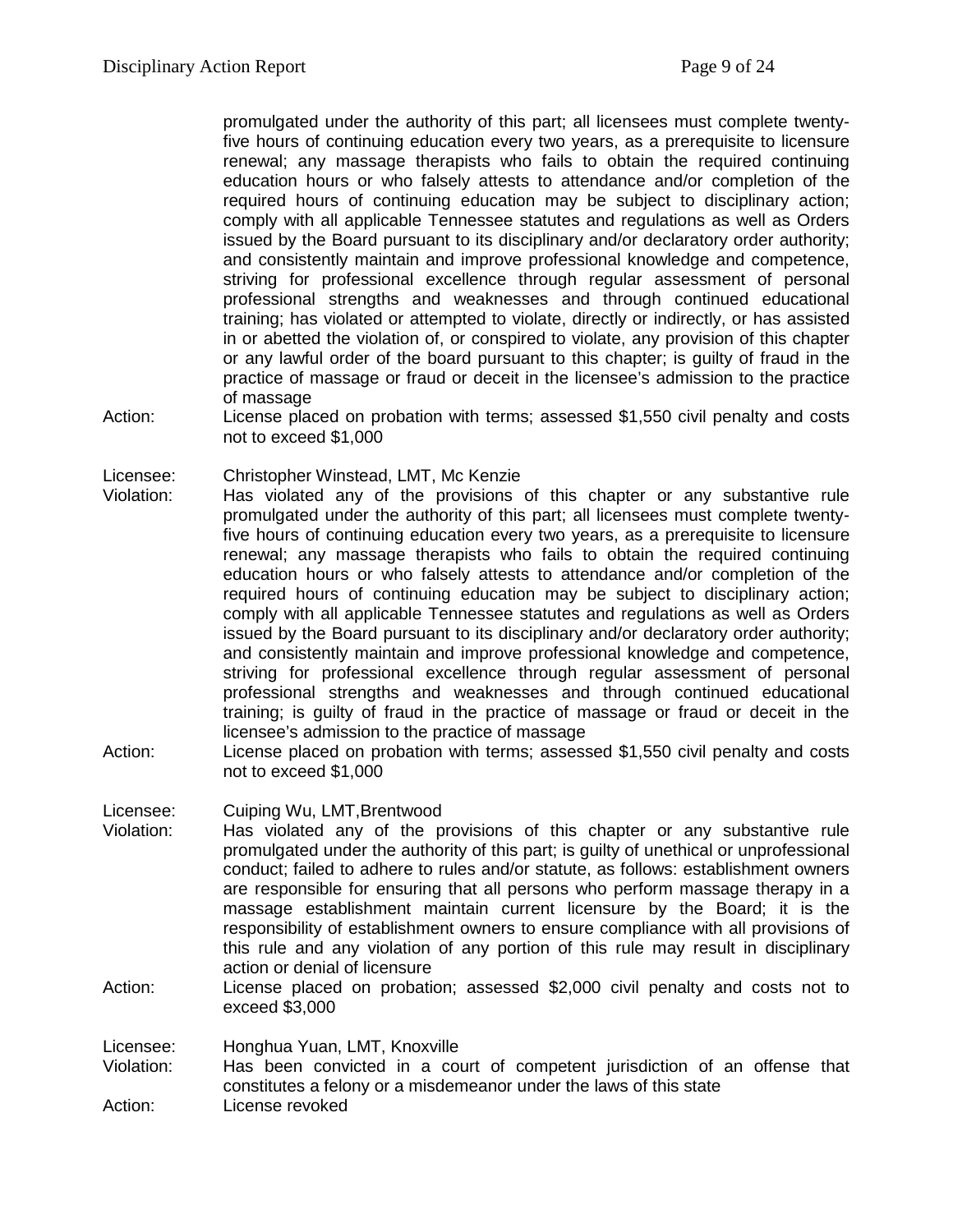promulgated under the authority of this part; all licensees must complete twentyfive hours of continuing education every two years, as a prerequisite to licensure renewal; any massage therapists who fails to obtain the required continuing education hours or who falsely attests to attendance and/or completion of the required hours of continuing education may be subject to disciplinary action; comply with all applicable Tennessee statutes and regulations as well as Orders issued by the Board pursuant to its disciplinary and/or declaratory order authority; and consistently maintain and improve professional knowledge and competence, striving for professional excellence through regular assessment of personal professional strengths and weaknesses and through continued educational training; has violated or attempted to violate, directly or indirectly, or has assisted in or abetted the violation of, or conspired to violate, any provision of this chapter or any lawful order of the board pursuant to this chapter; is guilty of fraud in the practice of massage or fraud or deceit in the licensee's admission to the practice of massage

Action: License placed on probation with terms; assessed \$1,550 civil penalty and costs not to exceed \$1,000

Licensee: Christopher Winstead, LMT, Mc Kenzie

- Violation: Has violated any of the provisions of this chapter or any substantive rule promulgated under the authority of this part; all licensees must complete twentyfive hours of continuing education every two years, as a prerequisite to licensure renewal; any massage therapists who fails to obtain the required continuing education hours or who falsely attests to attendance and/or completion of the required hours of continuing education may be subject to disciplinary action; comply with all applicable Tennessee statutes and regulations as well as Orders issued by the Board pursuant to its disciplinary and/or declaratory order authority; and consistently maintain and improve professional knowledge and competence, striving for professional excellence through regular assessment of personal professional strengths and weaknesses and through continued educational training; is guilty of fraud in the practice of massage or fraud or deceit in the licensee's admission to the practice of massage
- Action: License placed on probation with terms; assessed \$1,550 civil penalty and costs not to exceed \$1,000

# Licensee: Cuiping Wu, LMT,Brentwood

- Violation: Has violated any of the provisions of this chapter or any substantive rule promulgated under the authority of this part; is guilty of unethical or unprofessional conduct; failed to adhere to rules and/or statute, as follows: establishment owners are responsible for ensuring that all persons who perform massage therapy in a massage establishment maintain current licensure by the Board; it is the responsibility of establishment owners to ensure compliance with all provisions of this rule and any violation of any portion of this rule may result in disciplinary action or denial of licensure
- Action: License placed on probation; assessed \$2,000 civil penalty and costs not to exceed \$3,000

Licensee: Honghua Yuan, LMT, Knoxville

Violation: Has been convicted in a court of competent jurisdiction of an offense that constitutes a felony or a misdemeanor under the laws of this state

Action: License revoked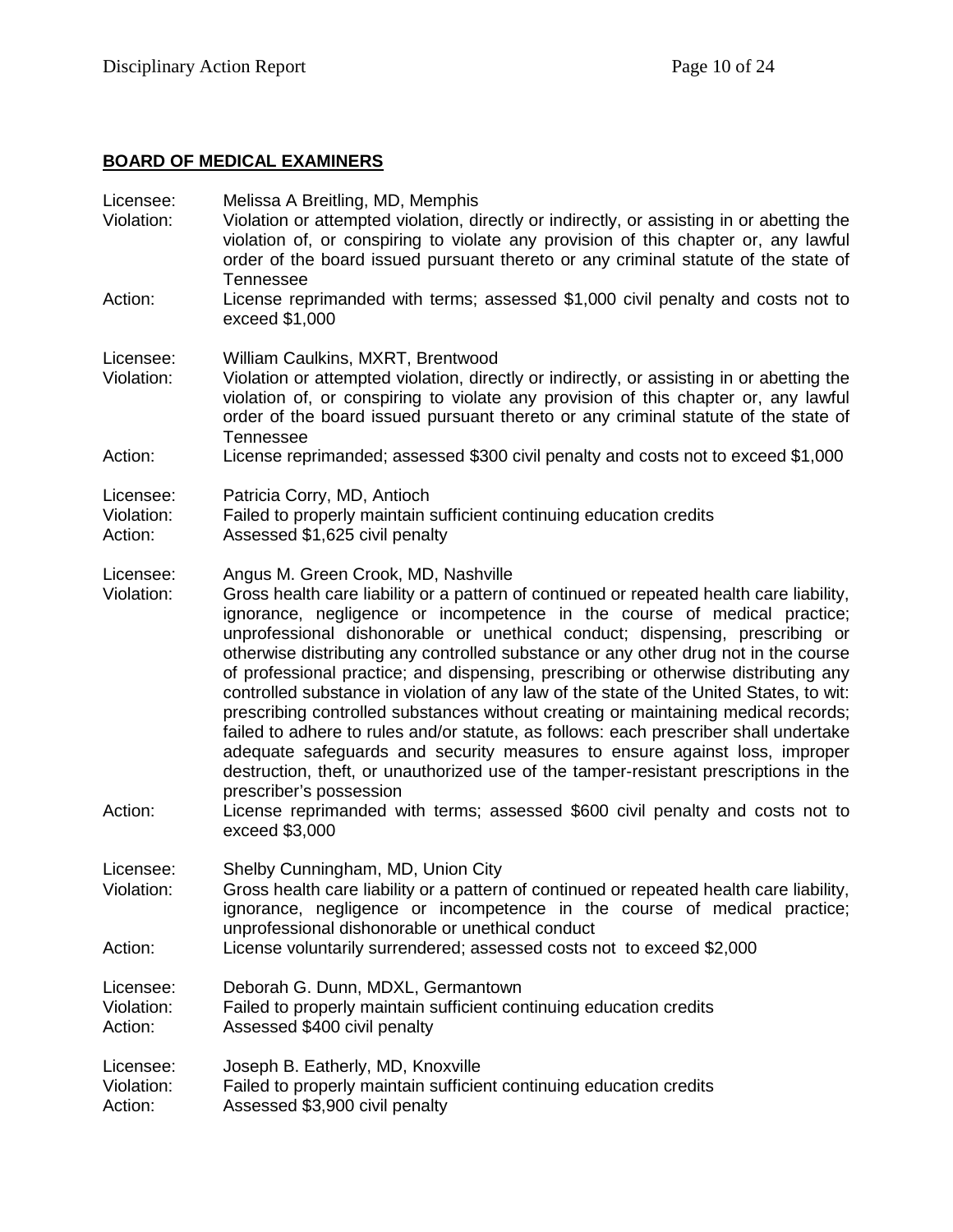# **BOARD OF MEDICAL EXAMINERS**

| Licensee:<br>Violation:            | Melissa A Breitling, MD, Memphis<br>Violation or attempted violation, directly or indirectly, or assisting in or abetting the<br>violation of, or conspiring to violate any provision of this chapter or, any lawful<br>order of the board issued pursuant thereto or any criminal statute of the state of<br><b>Tennessee</b>                                                                                                                                                                                                                                                                                                                                                                                                                                                                                                                                                                                                                                                                                                                          |
|------------------------------------|---------------------------------------------------------------------------------------------------------------------------------------------------------------------------------------------------------------------------------------------------------------------------------------------------------------------------------------------------------------------------------------------------------------------------------------------------------------------------------------------------------------------------------------------------------------------------------------------------------------------------------------------------------------------------------------------------------------------------------------------------------------------------------------------------------------------------------------------------------------------------------------------------------------------------------------------------------------------------------------------------------------------------------------------------------|
| Action:                            | License reprimanded with terms; assessed \$1,000 civil penalty and costs not to<br>exceed \$1,000                                                                                                                                                                                                                                                                                                                                                                                                                                                                                                                                                                                                                                                                                                                                                                                                                                                                                                                                                       |
| Licensee:<br>Violation:            | William Caulkins, MXRT, Brentwood<br>Violation or attempted violation, directly or indirectly, or assisting in or abetting the<br>violation of, or conspiring to violate any provision of this chapter or, any lawful<br>order of the board issued pursuant thereto or any criminal statute of the state of<br><b>Tennessee</b>                                                                                                                                                                                                                                                                                                                                                                                                                                                                                                                                                                                                                                                                                                                         |
| Action:                            | License reprimanded; assessed \$300 civil penalty and costs not to exceed \$1,000                                                                                                                                                                                                                                                                                                                                                                                                                                                                                                                                                                                                                                                                                                                                                                                                                                                                                                                                                                       |
| Licensee:<br>Violation:<br>Action: | Patricia Corry, MD, Antioch<br>Failed to properly maintain sufficient continuing education credits<br>Assessed \$1,625 civil penalty                                                                                                                                                                                                                                                                                                                                                                                                                                                                                                                                                                                                                                                                                                                                                                                                                                                                                                                    |
| Licensee:<br>Violation:<br>Action: | Angus M. Green Crook, MD, Nashville<br>Gross health care liability or a pattern of continued or repeated health care liability,<br>ignorance, negligence or incompetence in the course of medical practice;<br>unprofessional dishonorable or unethical conduct; dispensing, prescribing or<br>otherwise distributing any controlled substance or any other drug not in the course<br>of professional practice; and dispensing, prescribing or otherwise distributing any<br>controlled substance in violation of any law of the state of the United States, to wit:<br>prescribing controlled substances without creating or maintaining medical records;<br>failed to adhere to rules and/or statute, as follows: each prescriber shall undertake<br>adequate safeguards and security measures to ensure against loss, improper<br>destruction, theft, or unauthorized use of the tamper-resistant prescriptions in the<br>prescriber's possession<br>License reprimanded with terms; assessed \$600 civil penalty and costs not to<br>exceed \$3,000 |
| Licensee:<br>Violation:            | Shelby Cunningham, MD, Union City<br>Gross health care liability or a pattern of continued or repeated health care liability,<br>ignorance, negligence or incompetence in the course of medical practice;<br>unprofessional dishonorable or unethical conduct                                                                                                                                                                                                                                                                                                                                                                                                                                                                                                                                                                                                                                                                                                                                                                                           |
| Action:                            | License voluntarily surrendered; assessed costs not to exceed \$2,000                                                                                                                                                                                                                                                                                                                                                                                                                                                                                                                                                                                                                                                                                                                                                                                                                                                                                                                                                                                   |
| Licensee:<br>Violation:<br>Action: | Deborah G. Dunn, MDXL, Germantown<br>Failed to properly maintain sufficient continuing education credits<br>Assessed \$400 civil penalty                                                                                                                                                                                                                                                                                                                                                                                                                                                                                                                                                                                                                                                                                                                                                                                                                                                                                                                |
| Licensee:<br>Violation:<br>Action: | Joseph B. Eatherly, MD, Knoxville<br>Failed to properly maintain sufficient continuing education credits<br>Assessed \$3,900 civil penalty                                                                                                                                                                                                                                                                                                                                                                                                                                                                                                                                                                                                                                                                                                                                                                                                                                                                                                              |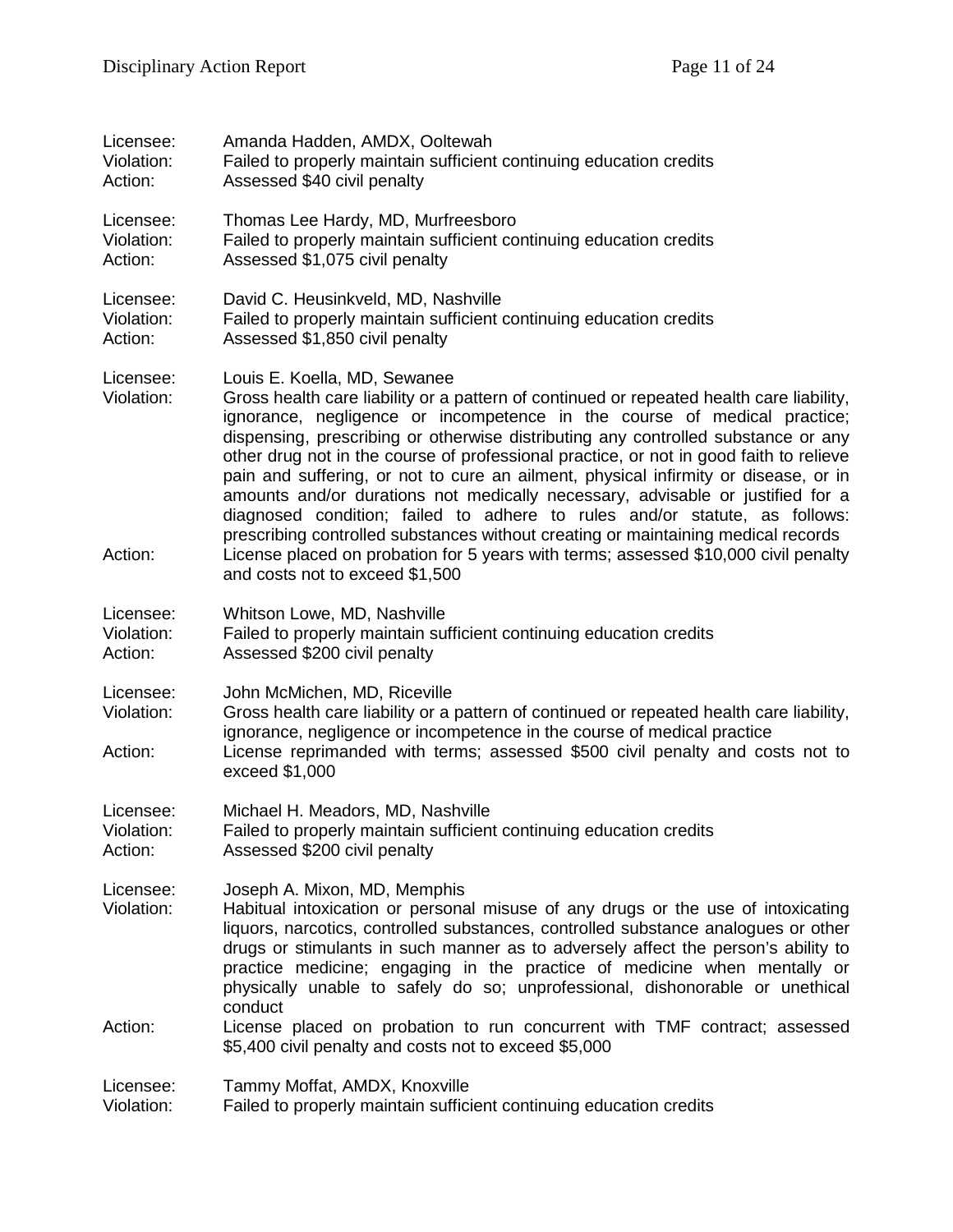| Licensee:                          | Amanda Hadden, AMDX, Ooltewah                                                                                                                                                                                                                                                                                                                                                                                                                                                                                                                                                                                                                                                                                                                                                                                          |
|------------------------------------|------------------------------------------------------------------------------------------------------------------------------------------------------------------------------------------------------------------------------------------------------------------------------------------------------------------------------------------------------------------------------------------------------------------------------------------------------------------------------------------------------------------------------------------------------------------------------------------------------------------------------------------------------------------------------------------------------------------------------------------------------------------------------------------------------------------------|
| Violation:                         | Failed to properly maintain sufficient continuing education credits                                                                                                                                                                                                                                                                                                                                                                                                                                                                                                                                                                                                                                                                                                                                                    |
| Action:                            | Assessed \$40 civil penalty                                                                                                                                                                                                                                                                                                                                                                                                                                                                                                                                                                                                                                                                                                                                                                                            |
| Licensee:                          | Thomas Lee Hardy, MD, Murfreesboro                                                                                                                                                                                                                                                                                                                                                                                                                                                                                                                                                                                                                                                                                                                                                                                     |
| Violation:                         | Failed to properly maintain sufficient continuing education credits                                                                                                                                                                                                                                                                                                                                                                                                                                                                                                                                                                                                                                                                                                                                                    |
| Action:                            | Assessed \$1,075 civil penalty                                                                                                                                                                                                                                                                                                                                                                                                                                                                                                                                                                                                                                                                                                                                                                                         |
| Licensee:                          | David C. Heusinkveld, MD, Nashville                                                                                                                                                                                                                                                                                                                                                                                                                                                                                                                                                                                                                                                                                                                                                                                    |
| Violation:                         | Failed to properly maintain sufficient continuing education credits                                                                                                                                                                                                                                                                                                                                                                                                                                                                                                                                                                                                                                                                                                                                                    |
| Action:                            | Assessed \$1,850 civil penalty                                                                                                                                                                                                                                                                                                                                                                                                                                                                                                                                                                                                                                                                                                                                                                                         |
| Licensee:<br>Violation:<br>Action: | Louis E. Koella, MD, Sewanee<br>Gross health care liability or a pattern of continued or repeated health care liability,<br>ignorance, negligence or incompetence in the course of medical practice;<br>dispensing, prescribing or otherwise distributing any controlled substance or any<br>other drug not in the course of professional practice, or not in good faith to relieve<br>pain and suffering, or not to cure an ailment, physical infirmity or disease, or in<br>amounts and/or durations not medically necessary, advisable or justified for a<br>diagnosed condition; failed to adhere to rules and/or statute, as follows:<br>prescribing controlled substances without creating or maintaining medical records<br>License placed on probation for 5 years with terms; assessed \$10,000 civil penalty |
|                                    | and costs not to exceed \$1,500                                                                                                                                                                                                                                                                                                                                                                                                                                                                                                                                                                                                                                                                                                                                                                                        |
| Licensee:                          | Whitson Lowe, MD, Nashville                                                                                                                                                                                                                                                                                                                                                                                                                                                                                                                                                                                                                                                                                                                                                                                            |
| Violation:                         | Failed to properly maintain sufficient continuing education credits                                                                                                                                                                                                                                                                                                                                                                                                                                                                                                                                                                                                                                                                                                                                                    |
| Action:                            | Assessed \$200 civil penalty                                                                                                                                                                                                                                                                                                                                                                                                                                                                                                                                                                                                                                                                                                                                                                                           |
| Licensee:<br>Violation:<br>Action: | John McMichen, MD, Riceville<br>Gross health care liability or a pattern of continued or repeated health care liability,<br>ignorance, negligence or incompetence in the course of medical practice<br>License reprimanded with terms; assessed \$500 civil penalty and costs not to<br>exceed \$1,000                                                                                                                                                                                                                                                                                                                                                                                                                                                                                                                 |
| Licensee:                          | Michael H. Meadors, MD, Nashville                                                                                                                                                                                                                                                                                                                                                                                                                                                                                                                                                                                                                                                                                                                                                                                      |
| Violation:                         | Failed to properly maintain sufficient continuing education credits                                                                                                                                                                                                                                                                                                                                                                                                                                                                                                                                                                                                                                                                                                                                                    |
| Action:                            | Assessed \$200 civil penalty                                                                                                                                                                                                                                                                                                                                                                                                                                                                                                                                                                                                                                                                                                                                                                                           |
| Licensee:<br>Violation:<br>Action: | Joseph A. Mixon, MD, Memphis<br>Habitual intoxication or personal misuse of any drugs or the use of intoxicating<br>liquors, narcotics, controlled substances, controlled substance analogues or other<br>drugs or stimulants in such manner as to adversely affect the person's ability to<br>practice medicine; engaging in the practice of medicine when mentally or<br>physically unable to safely do so; unprofessional, dishonorable or unethical<br>conduct<br>License placed on probation to run concurrent with TMF contract; assessed                                                                                                                                                                                                                                                                        |
|                                    | \$5,400 civil penalty and costs not to exceed \$5,000                                                                                                                                                                                                                                                                                                                                                                                                                                                                                                                                                                                                                                                                                                                                                                  |
| Licensee:                          | Tammy Moffat, AMDX, Knoxville                                                                                                                                                                                                                                                                                                                                                                                                                                                                                                                                                                                                                                                                                                                                                                                          |
| Violation:                         | Failed to properly maintain sufficient continuing education credits                                                                                                                                                                                                                                                                                                                                                                                                                                                                                                                                                                                                                                                                                                                                                    |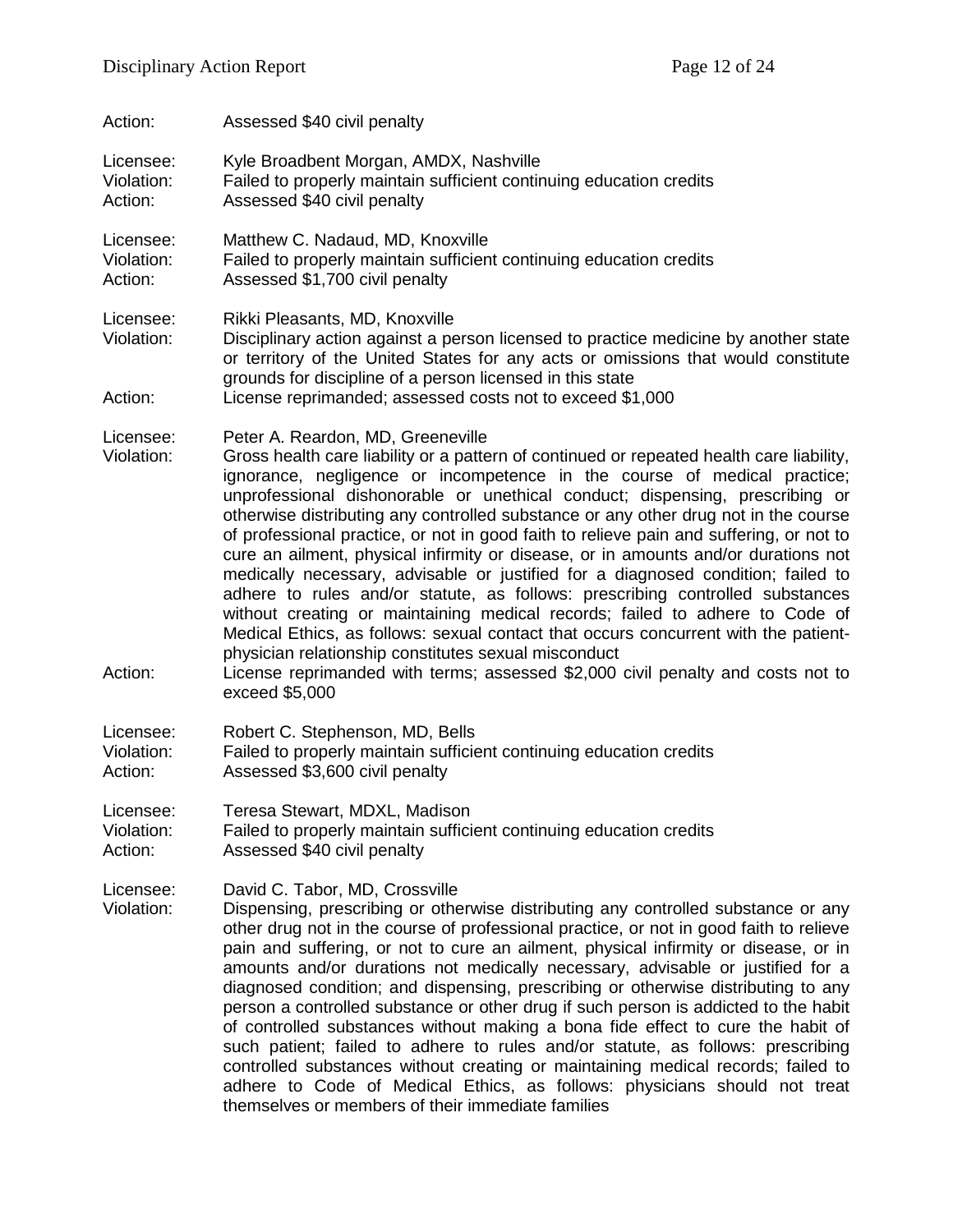| Action:                            | Assessed \$40 civil penalty                                                                                                                                                                                                                                                                                                                                                                                                                                                                                                                                                                                                                                                                                                                                                                                                                                                                                                                                                                                                                                                |
|------------------------------------|----------------------------------------------------------------------------------------------------------------------------------------------------------------------------------------------------------------------------------------------------------------------------------------------------------------------------------------------------------------------------------------------------------------------------------------------------------------------------------------------------------------------------------------------------------------------------------------------------------------------------------------------------------------------------------------------------------------------------------------------------------------------------------------------------------------------------------------------------------------------------------------------------------------------------------------------------------------------------------------------------------------------------------------------------------------------------|
| Licensee:                          | Kyle Broadbent Morgan, AMDX, Nashville                                                                                                                                                                                                                                                                                                                                                                                                                                                                                                                                                                                                                                                                                                                                                                                                                                                                                                                                                                                                                                     |
| Violation:                         | Failed to properly maintain sufficient continuing education credits                                                                                                                                                                                                                                                                                                                                                                                                                                                                                                                                                                                                                                                                                                                                                                                                                                                                                                                                                                                                        |
| Action:                            | Assessed \$40 civil penalty                                                                                                                                                                                                                                                                                                                                                                                                                                                                                                                                                                                                                                                                                                                                                                                                                                                                                                                                                                                                                                                |
| Licensee:                          | Matthew C. Nadaud, MD, Knoxville                                                                                                                                                                                                                                                                                                                                                                                                                                                                                                                                                                                                                                                                                                                                                                                                                                                                                                                                                                                                                                           |
| Violation:                         | Failed to properly maintain sufficient continuing education credits                                                                                                                                                                                                                                                                                                                                                                                                                                                                                                                                                                                                                                                                                                                                                                                                                                                                                                                                                                                                        |
| Action:                            | Assessed \$1,700 civil penalty                                                                                                                                                                                                                                                                                                                                                                                                                                                                                                                                                                                                                                                                                                                                                                                                                                                                                                                                                                                                                                             |
| Licensee:<br>Violation:<br>Action: | Rikki Pleasants, MD, Knoxville<br>Disciplinary action against a person licensed to practice medicine by another state<br>or territory of the United States for any acts or omissions that would constitute<br>grounds for discipline of a person licensed in this state<br>License reprimanded; assessed costs not to exceed \$1,000                                                                                                                                                                                                                                                                                                                                                                                                                                                                                                                                                                                                                                                                                                                                       |
| Licensee:<br>Violation:<br>Action: | Peter A. Reardon, MD, Greeneville<br>Gross health care liability or a pattern of continued or repeated health care liability,<br>ignorance, negligence or incompetence in the course of medical practice;<br>unprofessional dishonorable or unethical conduct; dispensing, prescribing or<br>otherwise distributing any controlled substance or any other drug not in the course<br>of professional practice, or not in good faith to relieve pain and suffering, or not to<br>cure an ailment, physical infirmity or disease, or in amounts and/or durations not<br>medically necessary, advisable or justified for a diagnosed condition; failed to<br>adhere to rules and/or statute, as follows: prescribing controlled substances<br>without creating or maintaining medical records; failed to adhere to Code of<br>Medical Ethics, as follows: sexual contact that occurs concurrent with the patient-<br>physician relationship constitutes sexual misconduct<br>License reprimanded with terms; assessed \$2,000 civil penalty and costs not to<br>exceed \$5,000 |
| Licensee:                          | Robert C. Stephenson, MD, Bells                                                                                                                                                                                                                                                                                                                                                                                                                                                                                                                                                                                                                                                                                                                                                                                                                                                                                                                                                                                                                                            |
| Violation:                         | Failed to properly maintain sufficient continuing education credits                                                                                                                                                                                                                                                                                                                                                                                                                                                                                                                                                                                                                                                                                                                                                                                                                                                                                                                                                                                                        |
| Action:                            | Assessed \$3,600 civil penalty                                                                                                                                                                                                                                                                                                                                                                                                                                                                                                                                                                                                                                                                                                                                                                                                                                                                                                                                                                                                                                             |
| Licensee:                          | Teresa Stewart, MDXL, Madison                                                                                                                                                                                                                                                                                                                                                                                                                                                                                                                                                                                                                                                                                                                                                                                                                                                                                                                                                                                                                                              |
| Violation:                         | Failed to properly maintain sufficient continuing education credits                                                                                                                                                                                                                                                                                                                                                                                                                                                                                                                                                                                                                                                                                                                                                                                                                                                                                                                                                                                                        |
| Action:                            | Assessed \$40 civil penalty                                                                                                                                                                                                                                                                                                                                                                                                                                                                                                                                                                                                                                                                                                                                                                                                                                                                                                                                                                                                                                                |
| Licensee:<br>Violation:            | David C. Tabor, MD, Crossville<br>Dispensing, prescribing or otherwise distributing any controlled substance or any<br>other drug not in the course of professional practice, or not in good faith to relieve<br>pain and suffering, or not to cure an ailment, physical infirmity or disease, or in<br>amounts and/or durations not medically necessary, advisable or justified for a<br>diagnosed condition; and dispensing, prescribing or otherwise distributing to any<br>person a controlled substance or other drug if such person is addicted to the habit<br>of controlled substances without making a bona fide effect to cure the habit of<br>such patient; failed to adhere to rules and/or statute, as follows: prescribing<br>controlled substances without creating or maintaining medical records; failed to<br>adhere to Code of Medical Ethics, as follows: physicians should not treat                                                                                                                                                                  |

themselves or members of their immediate families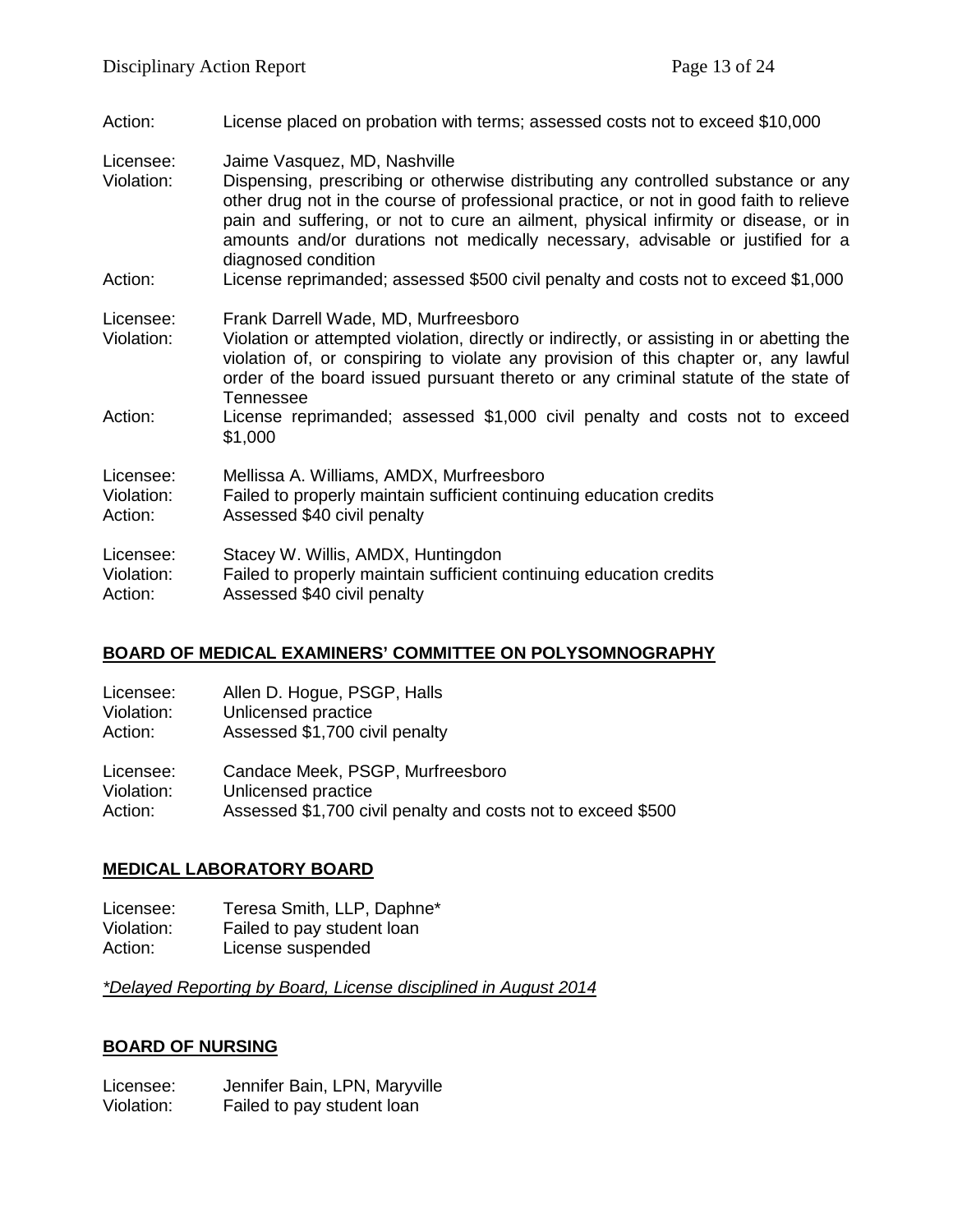| Action:                            | License placed on probation with terms; assessed costs not to exceed \$10,000                                                                                                                                                                                                                                                                                                                               |
|------------------------------------|-------------------------------------------------------------------------------------------------------------------------------------------------------------------------------------------------------------------------------------------------------------------------------------------------------------------------------------------------------------------------------------------------------------|
| Licensee:<br>Violation:            | Jaime Vasquez, MD, Nashville<br>Dispensing, prescribing or otherwise distributing any controlled substance or any<br>other drug not in the course of professional practice, or not in good faith to relieve<br>pain and suffering, or not to cure an ailment, physical infirmity or disease, or in<br>amounts and/or durations not medically necessary, advisable or justified for a<br>diagnosed condition |
| Action:                            | License reprimanded; assessed \$500 civil penalty and costs not to exceed \$1,000                                                                                                                                                                                                                                                                                                                           |
| Licensee:<br>Violation:            | Frank Darrell Wade, MD, Murfreesboro<br>Violation or attempted violation, directly or indirectly, or assisting in or abetting the<br>violation of, or conspiring to violate any provision of this chapter or, any lawful<br>order of the board issued pursuant thereto or any criminal statute of the state of<br><b>Tennessee</b>                                                                          |
| Action:                            | License reprimanded; assessed \$1,000 civil penalty and costs not to exceed<br>\$1,000                                                                                                                                                                                                                                                                                                                      |
| Licensee:<br>Violation:<br>Action: | Mellissa A. Williams, AMDX, Murfreesboro<br>Failed to properly maintain sufficient continuing education credits<br>Assessed \$40 civil penalty                                                                                                                                                                                                                                                              |
| Licensee:<br>Violation:<br>Action: | Stacey W. Willis, AMDX, Huntingdon<br>Failed to properly maintain sufficient continuing education credits<br>Assessed \$40 civil penalty                                                                                                                                                                                                                                                                    |

# **BOARD OF MEDICAL EXAMINERS' COMMITTEE ON POLYSOMNOGRAPHY**

| Licensee:  | Allen D. Hogue, PSGP, Halls                                  |
|------------|--------------------------------------------------------------|
| Violation: | Unlicensed practice                                          |
| Action:    | Assessed \$1,700 civil penalty                               |
| Licensee:  | Candace Meek, PSGP, Murfreesboro                             |
| Violation: | Unlicensed practice                                          |
| Action:    | Assessed \$1,700 civil penalty and costs not to exceed \$500 |

# **MEDICAL LABORATORY BOARD**

Licensee: Teresa Smith, LLP, Daphne<sup>\*</sup><br>Violation: Failed to pay student loan Violation: Failed to pay student loan<br>Action: License suspended License suspended

*\*Delayed Reporting by Board, License disciplined in August 2014*

#### **BOARD OF NURSING**

Licensee: Jennifer Bain, LPN, Maryville<br>Violation: Failed to pay student loan Failed to pay student loan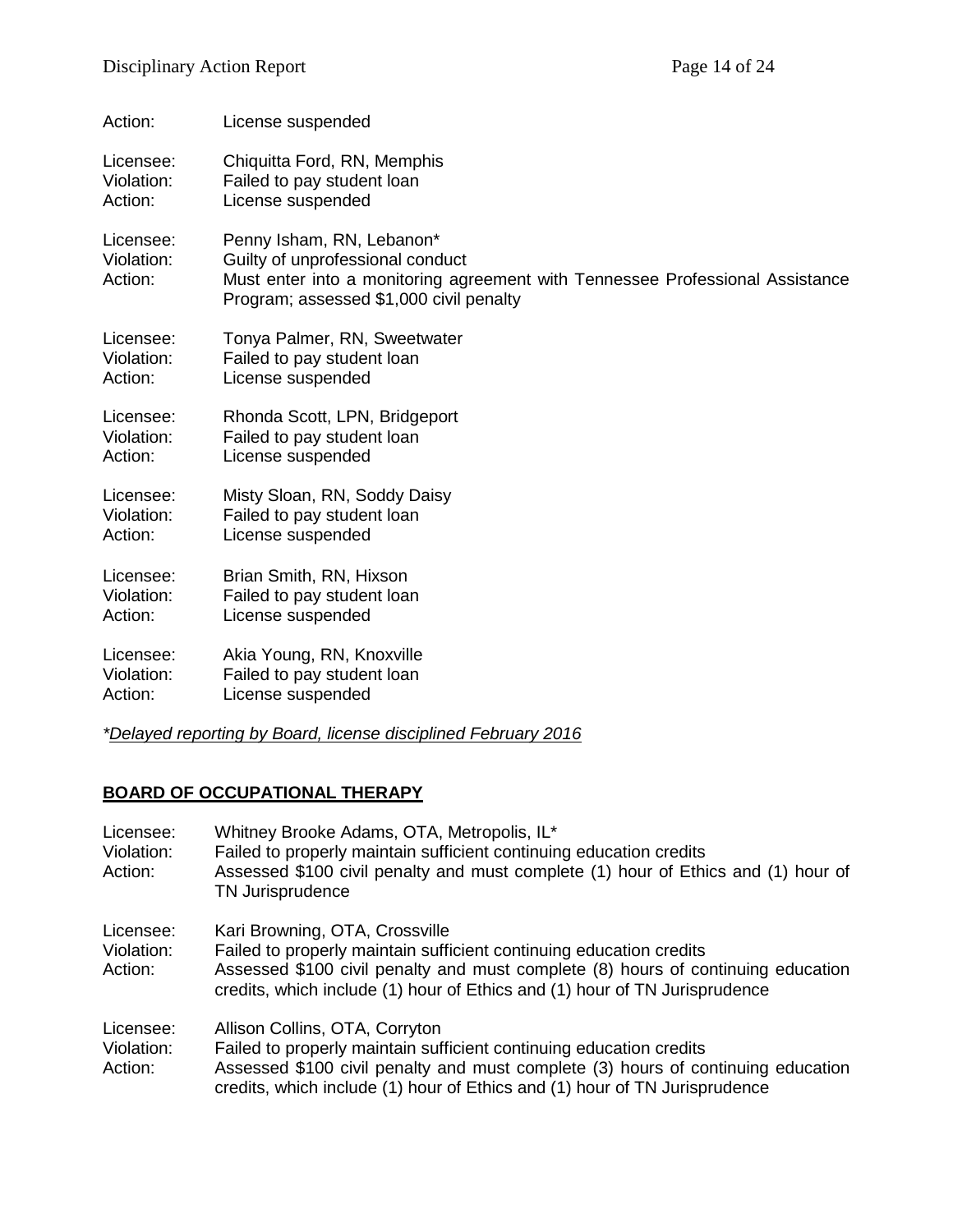| Action:                            | License suspended                                                                                                                                                                         |
|------------------------------------|-------------------------------------------------------------------------------------------------------------------------------------------------------------------------------------------|
| Licensee:                          | Chiquitta Ford, RN, Memphis                                                                                                                                                               |
| Violation:                         | Failed to pay student loan                                                                                                                                                                |
| Action:                            | License suspended                                                                                                                                                                         |
| Licensee:<br>Violation:<br>Action: | Penny Isham, RN, Lebanon*<br>Guilty of unprofessional conduct<br>Must enter into a monitoring agreement with Tennessee Professional Assistance<br>Program; assessed \$1,000 civil penalty |
| Licensee:                          | Tonya Palmer, RN, Sweetwater                                                                                                                                                              |
| Violation:                         | Failed to pay student loan                                                                                                                                                                |
| Action:                            | License suspended                                                                                                                                                                         |
| Licensee:                          | Rhonda Scott, LPN, Bridgeport                                                                                                                                                             |
| Violation:                         | Failed to pay student loan                                                                                                                                                                |
| Action:                            | License suspended                                                                                                                                                                         |
| Licensee:                          | Misty Sloan, RN, Soddy Daisy                                                                                                                                                              |
| Violation:                         | Failed to pay student loan                                                                                                                                                                |
| Action:                            | License suspended                                                                                                                                                                         |
| Licensee:                          | Brian Smith, RN, Hixson                                                                                                                                                                   |
| Violation:                         | Failed to pay student loan                                                                                                                                                                |
| Action:                            | License suspended                                                                                                                                                                         |
| Licensee:                          | Akia Young, RN, Knoxville                                                                                                                                                                 |
| Violation:                         | Failed to pay student loan                                                                                                                                                                |
| Action:                            | License suspended                                                                                                                                                                         |
|                                    |                                                                                                                                                                                           |

*\*Delayed reporting by Board, license disciplined February 2016*

# **BOARD OF OCCUPATIONAL THERAPY**

| Licensee:<br>Violation:<br>Action: | Whitney Brooke Adams, OTA, Metropolis, IL*<br>Failed to properly maintain sufficient continuing education credits<br>Assessed \$100 civil penalty and must complete (1) hour of Ethics and (1) hour of<br>TN Jurisprudence                                              |
|------------------------------------|-------------------------------------------------------------------------------------------------------------------------------------------------------------------------------------------------------------------------------------------------------------------------|
| Licensee:<br>Violation:<br>Action: | Kari Browning, OTA, Crossville<br>Failed to properly maintain sufficient continuing education credits<br>Assessed \$100 civil penalty and must complete (8) hours of continuing education<br>credits, which include (1) hour of Ethics and (1) hour of TN Jurisprudence |
| Licensee:<br>Violation:<br>Action: | Allison Collins, OTA, Corryton<br>Failed to properly maintain sufficient continuing education credits<br>Assessed \$100 civil penalty and must complete (3) hours of continuing education<br>credits, which include (1) hour of Ethics and (1) hour of TN Jurisprudence |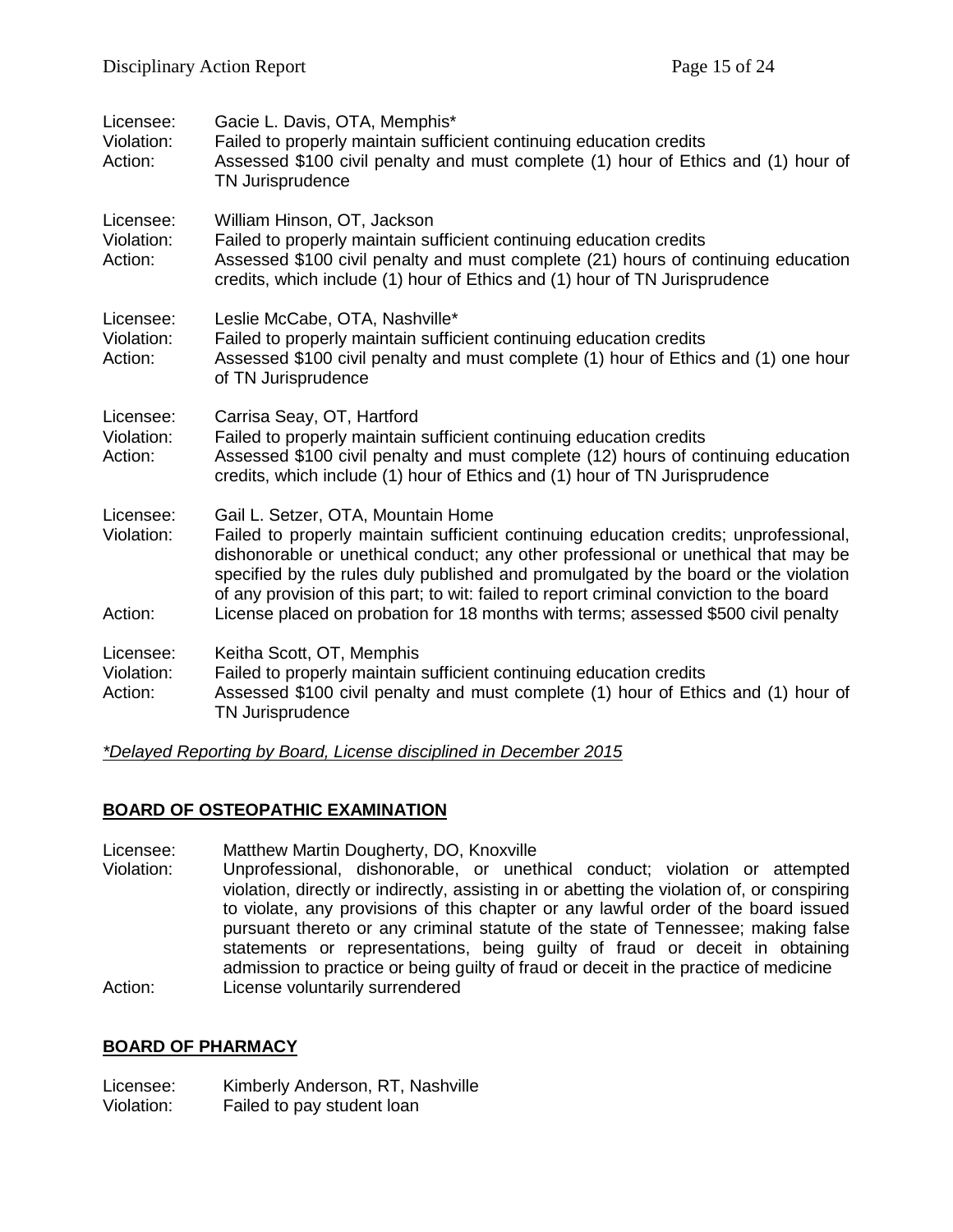| Licensee:<br>Violation:<br>Action: | Gacie L. Davis, OTA, Memphis*<br>Failed to properly maintain sufficient continuing education credits<br>Assessed \$100 civil penalty and must complete (1) hour of Ethics and (1) hour of<br><b>TN Jurisprudence</b>                                                                                                                                                                                                                                                                      |
|------------------------------------|-------------------------------------------------------------------------------------------------------------------------------------------------------------------------------------------------------------------------------------------------------------------------------------------------------------------------------------------------------------------------------------------------------------------------------------------------------------------------------------------|
| Licensee:<br>Violation:<br>Action: | William Hinson, OT, Jackson<br>Failed to properly maintain sufficient continuing education credits<br>Assessed \$100 civil penalty and must complete (21) hours of continuing education<br>credits, which include (1) hour of Ethics and (1) hour of TN Jurisprudence                                                                                                                                                                                                                     |
| Licensee:<br>Violation:<br>Action: | Leslie McCabe, OTA, Nashville*<br>Failed to properly maintain sufficient continuing education credits<br>Assessed \$100 civil penalty and must complete (1) hour of Ethics and (1) one hour<br>of TN Jurisprudence                                                                                                                                                                                                                                                                        |
| Licensee:<br>Violation:<br>Action: | Carrisa Seay, OT, Hartford<br>Failed to properly maintain sufficient continuing education credits<br>Assessed \$100 civil penalty and must complete (12) hours of continuing education<br>credits, which include (1) hour of Ethics and (1) hour of TN Jurisprudence                                                                                                                                                                                                                      |
| Licensee:<br>Violation:<br>Action: | Gail L. Setzer, OTA, Mountain Home<br>Failed to properly maintain sufficient continuing education credits; unprofessional,<br>dishonorable or unethical conduct; any other professional or unethical that may be<br>specified by the rules duly published and promulgated by the board or the violation<br>of any provision of this part; to wit: failed to report criminal conviction to the board<br>License placed on probation for 18 months with terms; assessed \$500 civil penalty |
| Licensee:                          | Keitha Scott, OT, Memphis                                                                                                                                                                                                                                                                                                                                                                                                                                                                 |
| Violation:<br>Action:              | Failed to properly maintain sufficient continuing education credits<br>Assessed \$100 civil penalty and must complete (1) hour of Ethics and (1) hour of<br>TN Jurisprudence                                                                                                                                                                                                                                                                                                              |
|                                    |                                                                                                                                                                                                                                                                                                                                                                                                                                                                                           |

*\*Delayed Reporting by Board, License disciplined in December 2015*

#### **BOARD OF OSTEOPATHIC EXAMINATION**

- Licensee: Matthew Martin Dougherty, DO, Knoxville<br>Violation: Unprofessional. dishonorable. or uneth
- Unprofessional, dishonorable, or unethical conduct; violation or attempted violation, directly or indirectly, assisting in or abetting the violation of, or conspiring to violate, any provisions of this chapter or any lawful order of the board issued pursuant thereto or any criminal statute of the state of Tennessee; making false statements or representations, being guilty of fraud or deceit in obtaining admission to practice or being guilty of fraud or deceit in the practice of medicine Action: License voluntarily surrendered

#### **BOARD OF PHARMACY**

Licensee: Kimberly Anderson, RT, Nashville Violation: Failed to pay student loan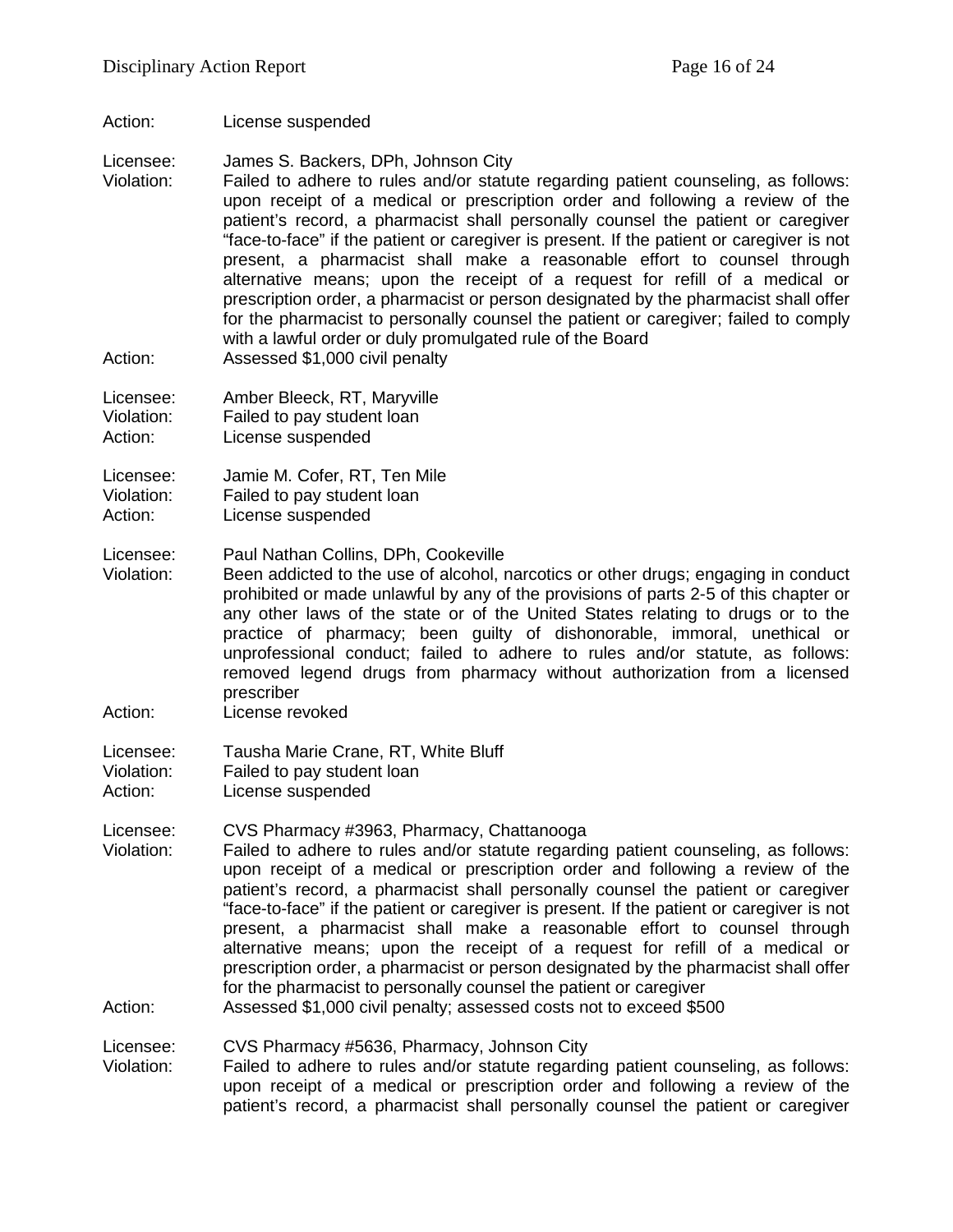Action: License suspended

Licensee: James S. Backers, DPh, Johnson City

- Violation: Failed to adhere to rules and/or statute regarding patient counseling, as follows: upon receipt of a medical or prescription order and following a review of the patient's record, a pharmacist shall personally counsel the patient or caregiver "face-to-face" if the patient or caregiver is present. If the patient or caregiver is not present, a pharmacist shall make a reasonable effort to counsel through alternative means; upon the receipt of a request for refill of a medical or prescription order, a pharmacist or person designated by the pharmacist shall offer for the pharmacist to personally counsel the patient or caregiver; failed to comply with a lawful order or duly promulgated rule of the Board
- Action: Assessed \$1,000 civil penalty
- Licensee: Amber Bleeck, RT, Maryville Violation: Failed to pay student loan

Action: License suspended

Licensee: Jamie M. Cofer, RT, Ten Mile

Violation: Failed to pay student loan

Action: License suspended

- Licensee: Paul Nathan Collins, DPh, Cookeville Been addicted to the use of alcohol, narcotics or other drugs; engaging in conduct prohibited or made unlawful by any of the provisions of parts 2-5 of this chapter or any other laws of the state or of the United States relating to drugs or to the practice of pharmacy; been guilty of dishonorable, immoral, unethical or unprofessional conduct; failed to adhere to rules and/or statute, as follows: removed legend drugs from pharmacy without authorization from a licensed prescriber
- Action: License revoked

Licensee: Tausha Marie Crane, RT, White Bluff Violation: Failed to pay student loan

Action: License suspended

#### Licensee: CVS Pharmacy #3963, Pharmacy, Chattanooga

- Violation: Failed to adhere to rules and/or statute regarding patient counseling, as follows: upon receipt of a medical or prescription order and following a review of the patient's record, a pharmacist shall personally counsel the patient or caregiver "face-to-face" if the patient or caregiver is present. If the patient or caregiver is not present, a pharmacist shall make a reasonable effort to counsel through alternative means; upon the receipt of a request for refill of a medical or prescription order, a pharmacist or person designated by the pharmacist shall offer for the pharmacist to personally counsel the patient or caregiver
- Action: Assessed \$1,000 civil penalty; assessed costs not to exceed \$500

Licensee: CVS Pharmacy #5636, Pharmacy, Johnson City

Violation: Failed to adhere to rules and/or statute regarding patient counseling, as follows: upon receipt of a medical or prescription order and following a review of the patient's record, a pharmacist shall personally counsel the patient or caregiver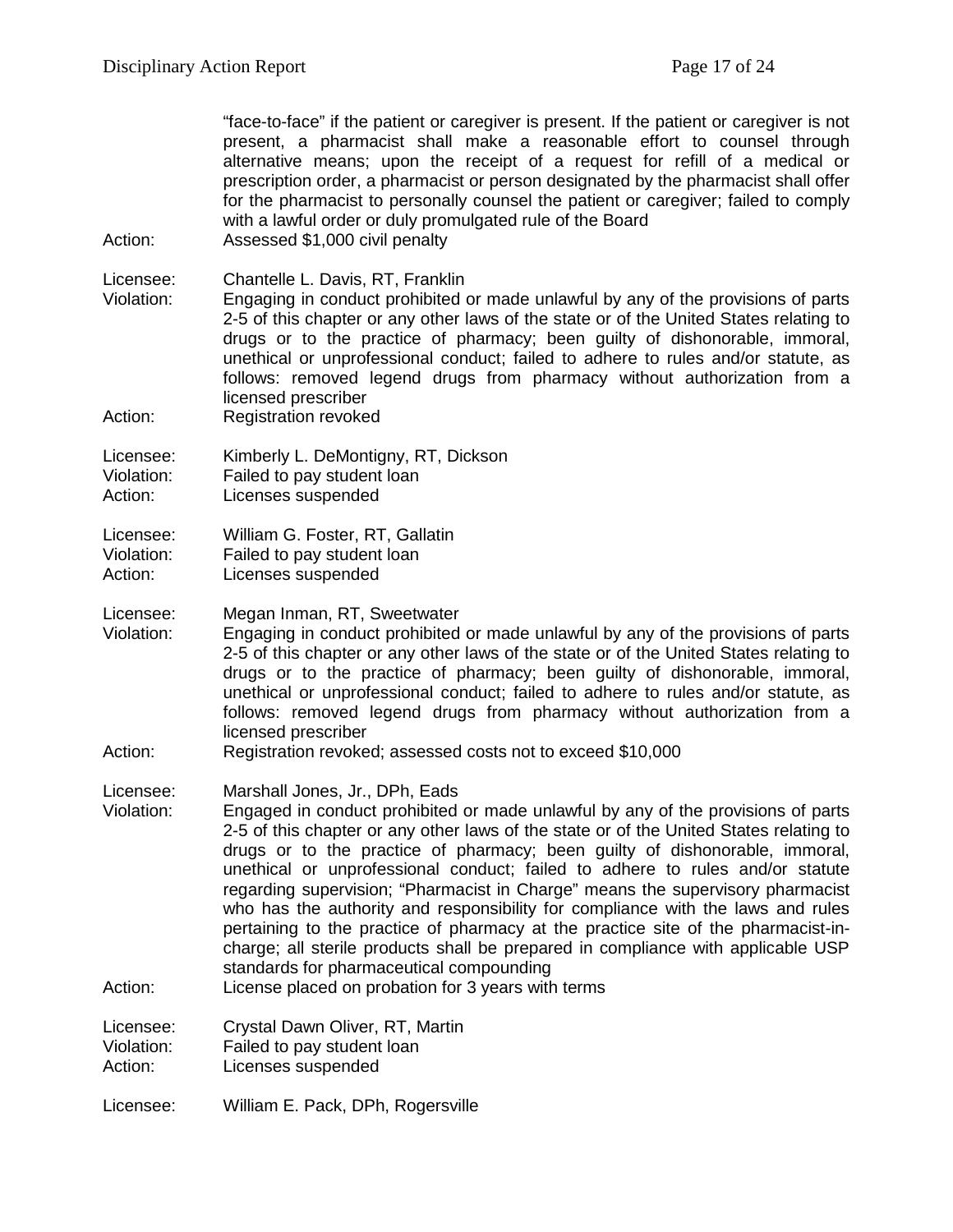"face-to-face" if the patient or caregiver is present. If the patient or caregiver is not present, a pharmacist shall make a reasonable effort to counsel through alternative means; upon the receipt of a request for refill of a medical or prescription order, a pharmacist or person designated by the pharmacist shall offer for the pharmacist to personally counsel the patient or caregiver; failed to comply with a lawful order or duly promulgated rule of the Board Action: Assessed \$1,000 civil penalty

Licensee: Chantelle L. Davis, RT, Franklin<br>Violation: Engaging in conduct prohibited of Engaging in conduct prohibited or made unlawful by any of the provisions of parts 2-5 of this chapter or any other laws of the state or of the United States relating to drugs or to the practice of pharmacy; been guilty of dishonorable, immoral, unethical or unprofessional conduct; failed to adhere to rules and/or statute, as follows: removed legend drugs from pharmacy without authorization from a licensed prescriber

Action: Registration revoked

Licensee: Kimberly L. DeMontigny, RT, Dickson Violation: Failed to pay student loan

Action: Licenses suspended

Licensee: William G. Foster, RT, Gallatin

Violation: Failed to pay student loan<br>Action: Licenses suspended

Licenses suspended

Licensee: Megan Inman, RT, Sweetwater

Violation: Engaging in conduct prohibited or made unlawful by any of the provisions of parts 2-5 of this chapter or any other laws of the state or of the United States relating to drugs or to the practice of pharmacy; been guilty of dishonorable, immoral, unethical or unprofessional conduct; failed to adhere to rules and/or statute, as follows: removed legend drugs from pharmacy without authorization from a licensed prescriber

Action: Registration revoked; assessed costs not to exceed \$10,000

Licensee: Marshall Jones, Jr., DPh, Eads

Violation: Engaged in conduct prohibited or made unlawful by any of the provisions of parts 2-5 of this chapter or any other laws of the state or of the United States relating to drugs or to the practice of pharmacy; been guilty of dishonorable, immoral, unethical or unprofessional conduct; failed to adhere to rules and/or statute regarding supervision; "Pharmacist in Charge" means the supervisory pharmacist who has the authority and responsibility for compliance with the laws and rules pertaining to the practice of pharmacy at the practice site of the pharmacist-incharge; all sterile products shall be prepared in compliance with applicable USP standards for pharmaceutical compounding

Action: License placed on probation for 3 years with terms

Licensee: Crystal Dawn Oliver, RT, Martin<br>Violation: Failed to pay student loan

Failed to pay student loan

Action: Licenses suspended

Licensee: William E. Pack, DPh, Rogersville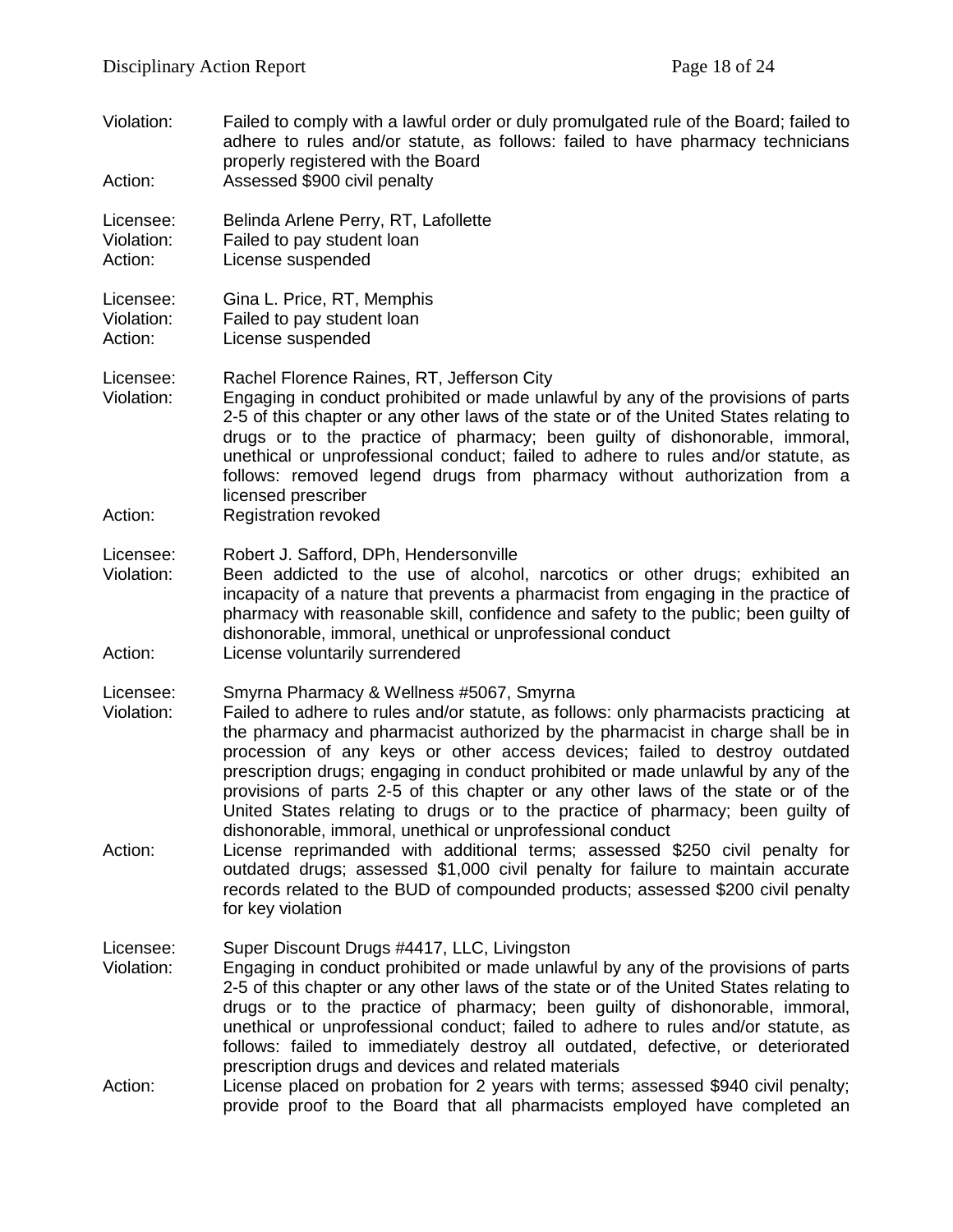Violation: Failed to comply with a lawful order or duly promulgated rule of the Board; failed to adhere to rules and/or statute, as follows: failed to have pharmacy technicians properly registered with the Board Action: Assessed \$900 civil penalty Licensee: Belinda Arlene Perry, RT, Lafollette Violation: Failed to pay student loan Action: License suspended Licensee: Gina L. Price, RT, Memphis<br>Violation: Failed to pay student loan Failed to pay student loan Action: License suspended Licensee: Rachel Florence Raines, RT, Jefferson City Violation: Engaging in conduct prohibited or made unlawful by any of the provisions of parts 2-5 of this chapter or any other laws of the state or of the United States relating to drugs or to the practice of pharmacy; been guilty of dishonorable, immoral, unethical or unprofessional conduct; failed to adhere to rules and/or statute, as follows: removed legend drugs from pharmacy without authorization from a licensed prescriber Action: Registration revoked Licensee: Robert J. Safford, DPh, Hendersonville<br>Violation: Been addicted to the use of alcohol Been addicted to the use of alcohol, narcotics or other drugs; exhibited an incapacity of a nature that prevents a pharmacist from engaging in the practice of pharmacy with reasonable skill, confidence and safety to the public; been guilty of dishonorable, immoral, unethical or unprofessional conduct Action: License voluntarily surrendered Licensee: Smyrna Pharmacy & Wellness #5067, Smyrna Violation: Failed to adhere to rules and/or statute, as follows: only pharmacists practicing at the pharmacy and pharmacist authorized by the pharmacist in charge shall be in procession of any keys or other access devices; failed to destroy outdated prescription drugs; engaging in conduct prohibited or made unlawful by any of the provisions of parts 2-5 of this chapter or any other laws of the state or of the United States relating to drugs or to the practice of pharmacy; been guilty of dishonorable, immoral, unethical or unprofessional conduct Action: License reprimanded with additional terms; assessed \$250 civil penalty for outdated drugs; assessed \$1,000 civil penalty for failure to maintain accurate records related to the BUD of compounded products; assessed \$200 civil penalty for key violation Licensee: Super Discount Drugs #4417, LLC, Livingston Violation: Engaging in conduct prohibited or made unlawful by any of the provisions of parts 2-5 of this chapter or any other laws of the state or of the United States relating to drugs or to the practice of pharmacy; been guilty of dishonorable, immoral, unethical or unprofessional conduct; failed to adhere to rules and/or statute, as follows: failed to immediately destroy all outdated, defective, or deteriorated prescription drugs and devices and related materials Action: License placed on probation for 2 years with terms; assessed \$940 civil penalty; provide proof to the Board that all pharmacists employed have completed an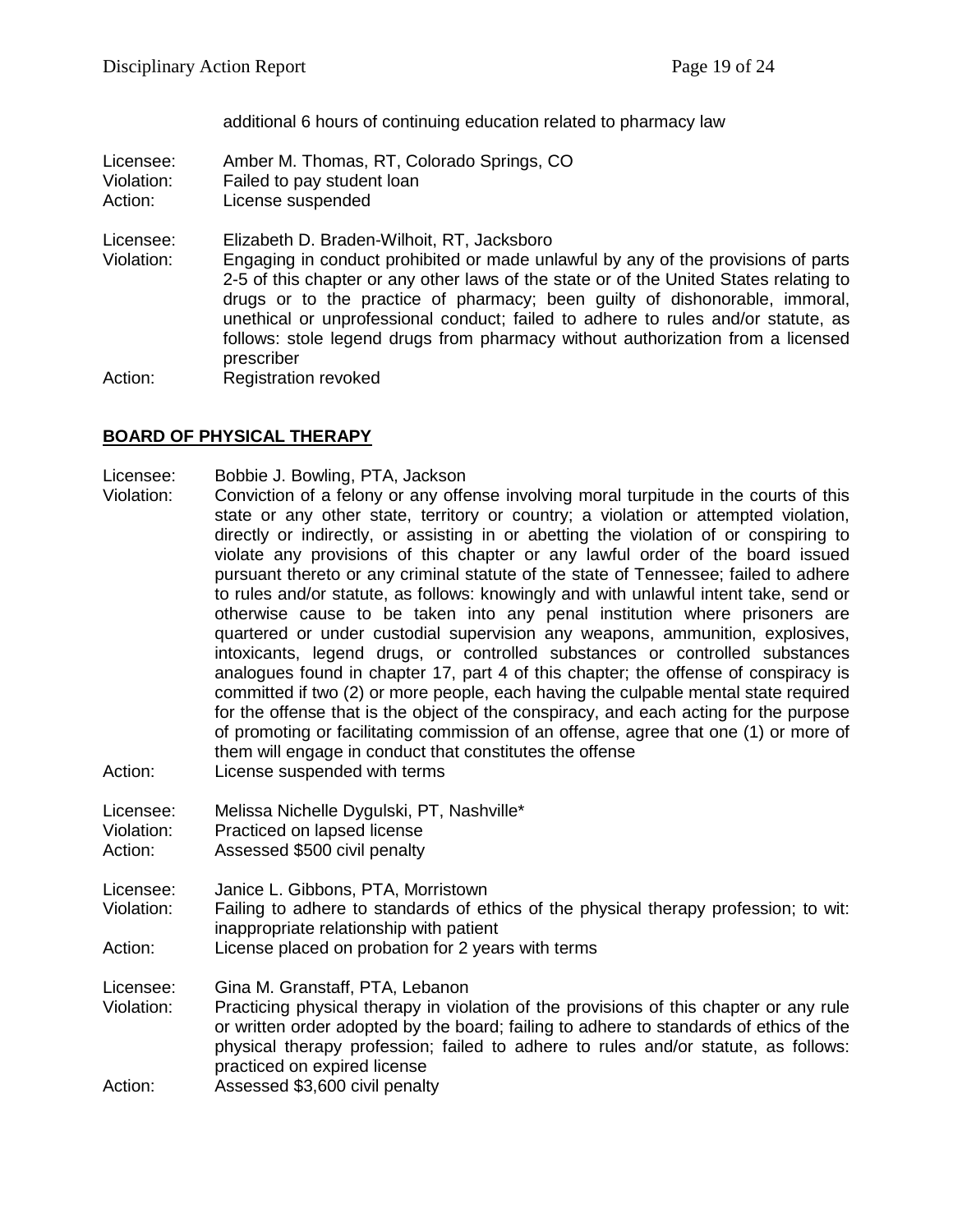additional 6 hours of continuing education related to pharmacy law

Licensee: Amber M. Thomas, RT, Colorado Springs, CO Violation: Failed to pay student loan

Action: License suspended

Licensee: Elizabeth D. Braden-Wilhoit, RT, Jacksboro

Violation: Engaging in conduct prohibited or made unlawful by any of the provisions of parts 2-5 of this chapter or any other laws of the state or of the United States relating to drugs or to the practice of pharmacy; been guilty of dishonorable, immoral, unethical or unprofessional conduct; failed to adhere to rules and/or statute, as follows: stole legend drugs from pharmacy without authorization from a licensed prescriber

Action: Registration revoked

#### **BOARD OF PHYSICAL THERAPY**

Licensee: Bobbie J. Bowling, PTA, Jackson

- Violation: Conviction of a felony or any offense involving moral turpitude in the courts of this state or any other state, territory or country; a violation or attempted violation, directly or indirectly, or assisting in or abetting the violation of or conspiring to violate any provisions of this chapter or any lawful order of the board issued pursuant thereto or any criminal statute of the state of Tennessee; failed to adhere to rules and/or statute, as follows: knowingly and with unlawful intent take, send or otherwise cause to be taken into any penal institution where prisoners are quartered or under custodial supervision any weapons, ammunition, explosives, intoxicants, legend drugs, or controlled substances or controlled substances analogues found in chapter 17, part 4 of this chapter; the offense of conspiracy is committed if two (2) or more people, each having the culpable mental state required for the offense that is the object of the conspiracy, and each acting for the purpose of promoting or facilitating commission of an offense, agree that one (1) or more of them will engage in conduct that constitutes the offense
- Action: License suspended with terms
- Licensee: Melissa Nichelle Dygulski, PT, Nashville\* Violation: Practiced on lapsed license
- Action: Assessed \$500 civil penalty
- Licensee: Janice L. Gibbons, PTA, Morristown Violation: Failing to adhere to standards of ethics of the physical therapy profession; to wit: inappropriate relationship with patient
- Action: License placed on probation for 2 years with terms

Licensee: Gina M. Granstaff, PTA, Lebanon

- Violation: Practicing physical therapy in violation of the provisions of this chapter or any rule or written order adopted by the board; failing to adhere to standards of ethics of the physical therapy profession; failed to adhere to rules and/or statute, as follows: practiced on expired license
- Action: Assessed \$3,600 civil penalty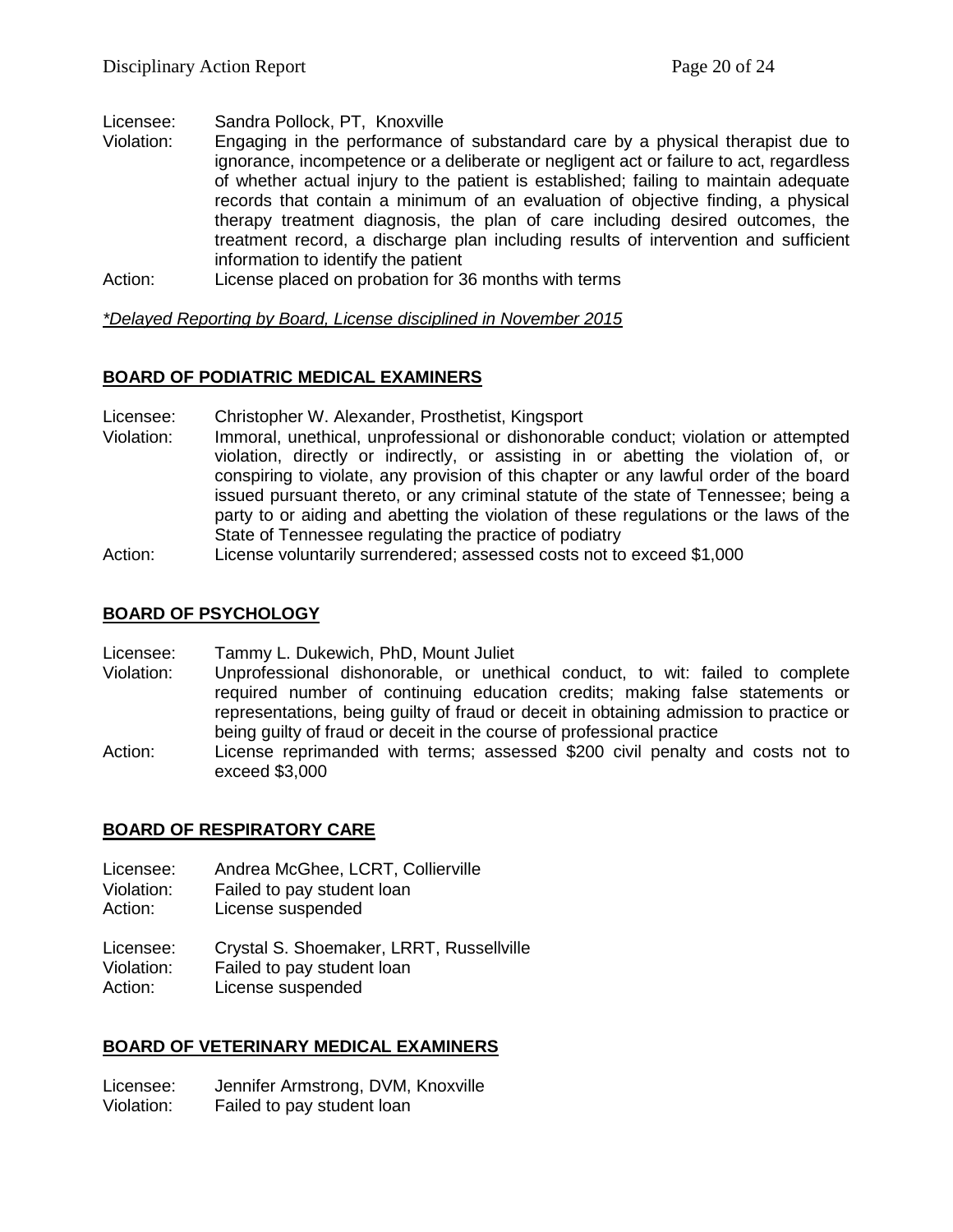Licensee: Sandra Pollock, PT, Knoxville<br>Violation: Fogganing in the performance

- Engaging in the performance of substandard care by a physical therapist due to ignorance, incompetence or a deliberate or negligent act or failure to act, regardless of whether actual injury to the patient is established; failing to maintain adequate records that contain a minimum of an evaluation of objective finding, a physical therapy treatment diagnosis, the plan of care including desired outcomes, the treatment record, a discharge plan including results of intervention and sufficient information to identify the patient
- Action: License placed on probation for 36 months with terms

*\*Delayed Reporting by Board, License disciplined in November 2015*

# **BOARD OF PODIATRIC MEDICAL EXAMINERS**

- Licensee: Christopher W. Alexander, Prosthetist, Kingsport
- Violation: Immoral, unethical, unprofessional or dishonorable conduct; violation or attempted violation, directly or indirectly, or assisting in or abetting the violation of, or conspiring to violate, any provision of this chapter or any lawful order of the board issued pursuant thereto, or any criminal statute of the state of Tennessee; being a party to or aiding and abetting the violation of these regulations or the laws of the State of Tennessee regulating the practice of podiatry

Action: License voluntarily surrendered; assessed costs not to exceed \$1,000

# **BOARD OF PSYCHOLOGY**

Licensee: Tammy L. Dukewich, PhD, Mount Juliet

- Violation: Unprofessional dishonorable, or unethical conduct, to wit: failed to complete required number of continuing education credits; making false statements or representations, being guilty of fraud or deceit in obtaining admission to practice or being guilty of fraud or deceit in the course of professional practice
- Action: License reprimanded with terms; assessed \$200 civil penalty and costs not to exceed \$3,000

# **BOARD OF RESPIRATORY CARE**

Licensee: Andrea McGhee, LCRT, Collierville

- Violation: Failed to pay student loan
- Action: License suspended

Licensee: Crystal S. Shoemaker, LRRT, Russellville Violation: Failed to pay student loan Action: License suspended

# **BOARD OF VETERINARY MEDICAL EXAMINERS**

Licensee: Jennifer Armstrong, DVM, Knoxville Violation: Failed to pay student loan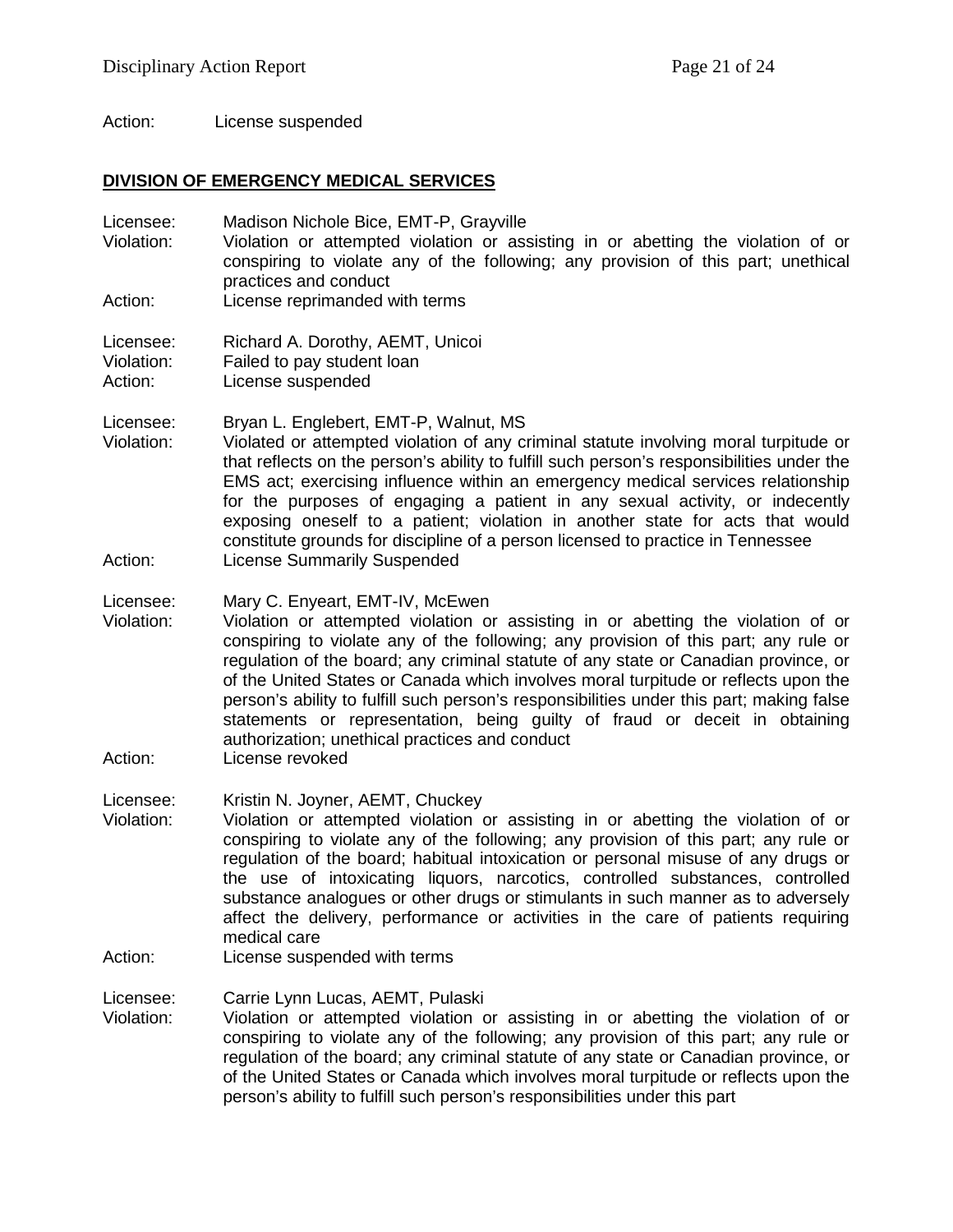Action: License suspended

#### **DIVISION OF EMERGENCY MEDICAL SERVICES**

Licensee: Madison Nichole Bice, EMT-P, Grayville<br>Violation: Violation or attempted violation or ass Violation: Violation or attempted violation or assisting in or abetting the violation of or conspiring to violate any of the following; any provision of this part; unethical practices and conduct Action: License reprimanded with terms

Licensee: Richard A. Dorothy, AEMT, Unicoi

Violation: Failed to pay student loan Action: License suspended

Licensee: Bryan L. Englebert, EMT-P, Walnut, MS

Violation: Violated or attempted violation of any criminal statute involving moral turpitude or that reflects on the person's ability to fulfill such person's responsibilities under the EMS act; exercising influence within an emergency medical services relationship for the purposes of engaging a patient in any sexual activity, or indecently exposing oneself to a patient; violation in another state for acts that would constitute grounds for discipline of a person licensed to practice in Tennessee Action: License Summarily Suspended

Licensee: Mary C. Enyeart, EMT-IV, McEwen

- Violation: Violation or attempted violation or assisting in or abetting the violation of or conspiring to violate any of the following; any provision of this part; any rule or regulation of the board; any criminal statute of any state or Canadian province, or of the United States or Canada which involves moral turpitude or reflects upon the person's ability to fulfill such person's responsibilities under this part; making false statements or representation, being guilty of fraud or deceit in obtaining authorization; unethical practices and conduct
- Action: License revoked

Licensee: Kristin N. Joyner, AEMT, Chuckey

- Violation: Violation or attempted violation or assisting in or abetting the violation of or conspiring to violate any of the following; any provision of this part; any rule or regulation of the board; habitual intoxication or personal misuse of any drugs or the use of intoxicating liquors, narcotics, controlled substances, controlled substance analogues or other drugs or stimulants in such manner as to adversely affect the delivery, performance or activities in the care of patients requiring medical care
- Action: License suspended with terms

Licensee: Carrie Lynn Lucas, AEMT, Pulaski

Violation: Violation or attempted violation or assisting in or abetting the violation of or conspiring to violate any of the following; any provision of this part; any rule or regulation of the board; any criminal statute of any state or Canadian province, or of the United States or Canada which involves moral turpitude or reflects upon the person's ability to fulfill such person's responsibilities under this part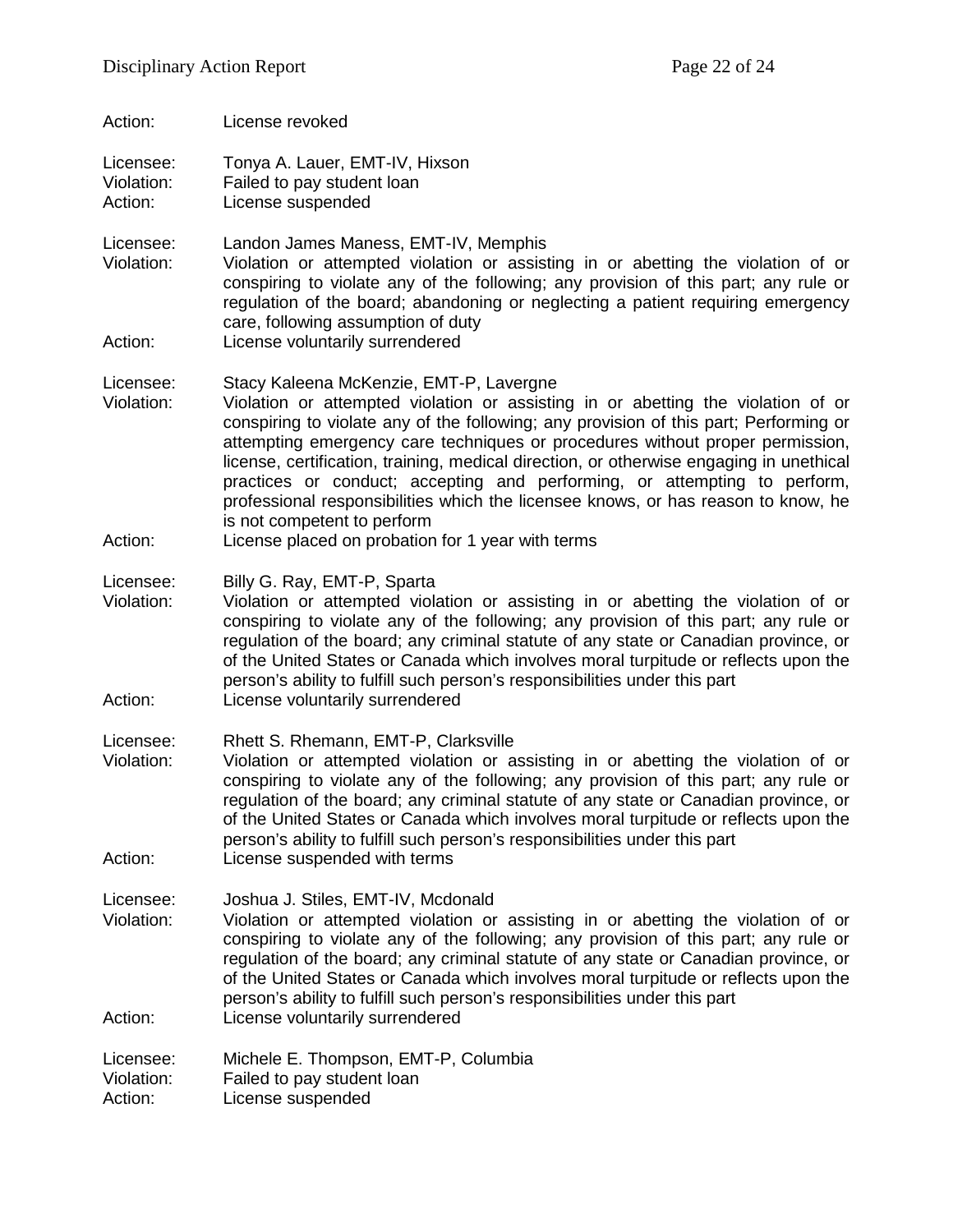Action: License revoked

Licensee: Tonya A. Lauer, EMT-IV, Hixson Violation: Failed to pay student loan Action: License suspended

Licensee: Landon James Maness, EMT-IV, Memphis Violation: Violation or attempted violation or assisting in or abetting the violation of or conspiring to violate any of the following; any provision of this part; any rule or regulation of the board; abandoning or neglecting a patient requiring emergency care, following assumption of duty

Action: License voluntarily surrendered

Licensee: Stacy Kaleena McKenzie, EMT-P, Lavergne<br>Violation: Violation or attempted violation or assistir

- Violation or attempted violation or assisting in or abetting the violation of or conspiring to violate any of the following; any provision of this part; Performing or attempting emergency care techniques or procedures without proper permission, license, certification, training, medical direction, or otherwise engaging in unethical practices or conduct; accepting and performing, or attempting to perform, professional responsibilities which the licensee knows, or has reason to know, he is not competent to perform
- Action: License placed on probation for 1 year with terms

Licensee: Billy G. Ray, EMT-P, Sparta<br>Violation: Violation or attempted viola

- Violation: Violation or attempted violation or assisting in or abetting the violation of or conspiring to violate any of the following; any provision of this part; any rule or regulation of the board; any criminal statute of any state or Canadian province, or of the United States or Canada which involves moral turpitude or reflects upon the person's ability to fulfill such person's responsibilities under this part Action: License voluntarily surrendered
- 

Licensee: Rhett S. Rhemann, EMT-P, Clarksville

Violation: Violation or attempted violation or assisting in or abetting the violation of or conspiring to violate any of the following; any provision of this part; any rule or regulation of the board; any criminal statute of any state or Canadian province, or of the United States or Canada which involves moral turpitude or reflects upon the person's ability to fulfill such person's responsibilities under this part Action: License suspended with terms

Licensee: Joshua J. Stiles, EMT-IV, Mcdonald<br>Violation: Violation or attempted violation or

Violation: Violation or attempted violation or assisting in or abetting the violation of or conspiring to violate any of the following; any provision of this part; any rule or regulation of the board; any criminal statute of any state or Canadian province, or of the United States or Canada which involves moral turpitude or reflects upon the person's ability to fulfill such person's responsibilities under this part Action: License voluntarily surrendered

Licensee: Michele E. Thompson, EMT-P, Columbia Violation: Failed to pay student loan Action: License suspended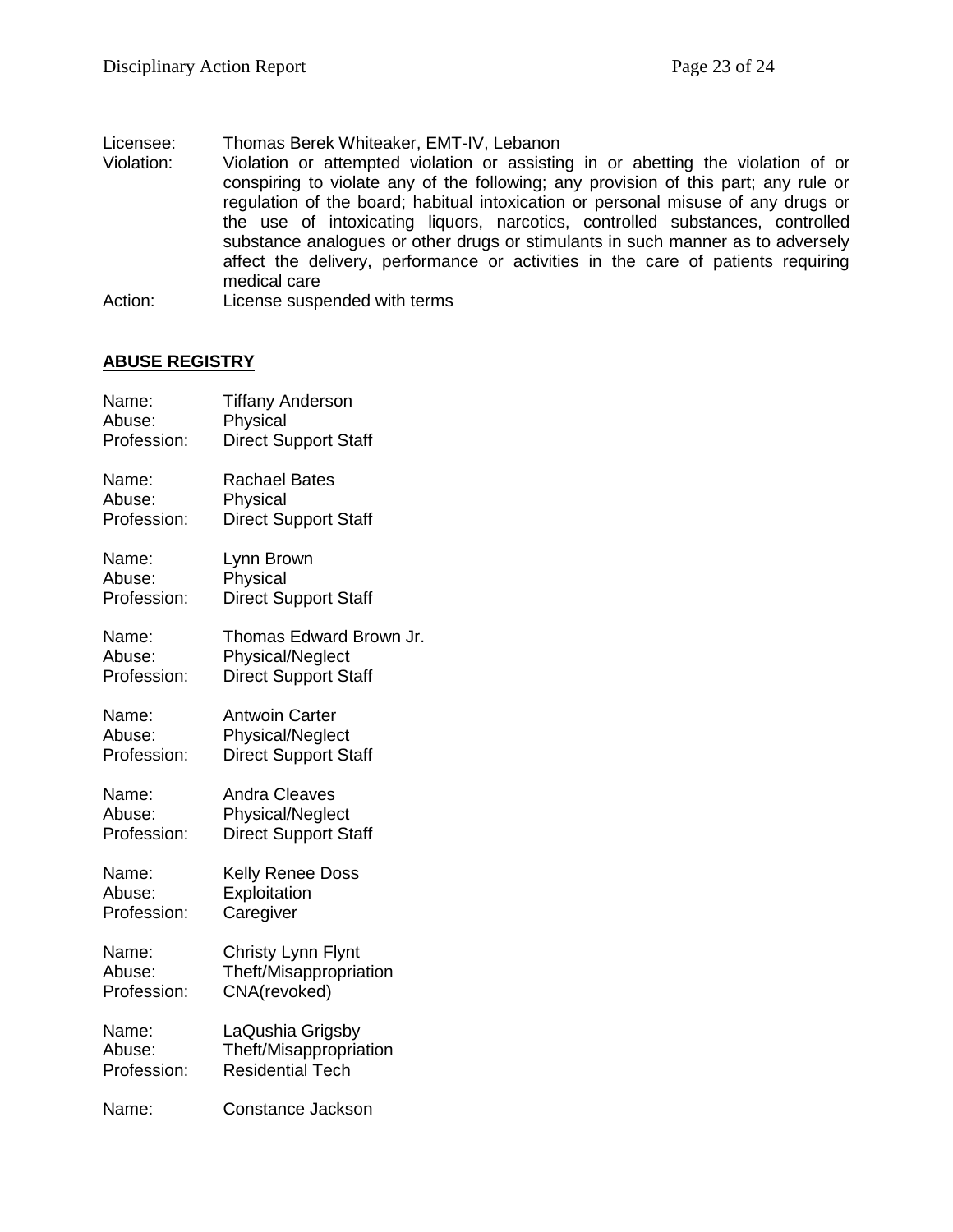# Licensee: Thomas Berek Whiteaker, EMT-IV, Lebanon<br>Violation: Violation or attempted violation or assistin

Violation or attempted violation or assisting in or abetting the violation of or conspiring to violate any of the following; any provision of this part; any rule or regulation of the board; habitual intoxication or personal misuse of any drugs or the use of intoxicating liquors, narcotics, controlled substances, controlled substance analogues or other drugs or stimulants in such manner as to adversely affect the delivery, performance or activities in the care of patients requiring medical care

Action: License suspended with terms

#### **ABUSE REGISTRY**

| Name:       | <b>Tiffany Anderson</b>     |
|-------------|-----------------------------|
| Abuse:      | Physical                    |
| Profession: | <b>Direct Support Staff</b> |
| Name:       | <b>Rachael Bates</b>        |
| Abuse:      | Physical                    |
| Profession: | <b>Direct Support Staff</b> |
| Name:       | Lynn Brown                  |
| Abuse:      | Physical                    |
| Profession: | <b>Direct Support Staff</b> |
| Name:       | Thomas Edward Brown Jr.     |
| Abuse:      | Physical/Neglect            |
| Profession: | <b>Direct Support Staff</b> |
| Name:       | <b>Antwoin Carter</b>       |
| Abuse:      | Physical/Neglect            |
| Profession: | <b>Direct Support Staff</b> |
| Name:       | <b>Andra Cleaves</b>        |
| Abuse:      | Physical/Neglect            |
| Profession: | <b>Direct Support Staff</b> |
| Name:       | <b>Kelly Renee Doss</b>     |
| Abuse:      | Exploitation                |
| Profession: | Caregiver                   |
| Name:       | Christy Lynn Flynt          |
| Abuse:      | Theft/Misappropriation      |
| Profession: | CNA(revoked)                |
| Name:       | LaQushia Grigsby            |
| Abuse:      | Theft/Misappropriation      |
| Profession: | <b>Residential Tech</b>     |
| Name:       | Constance Jackson           |